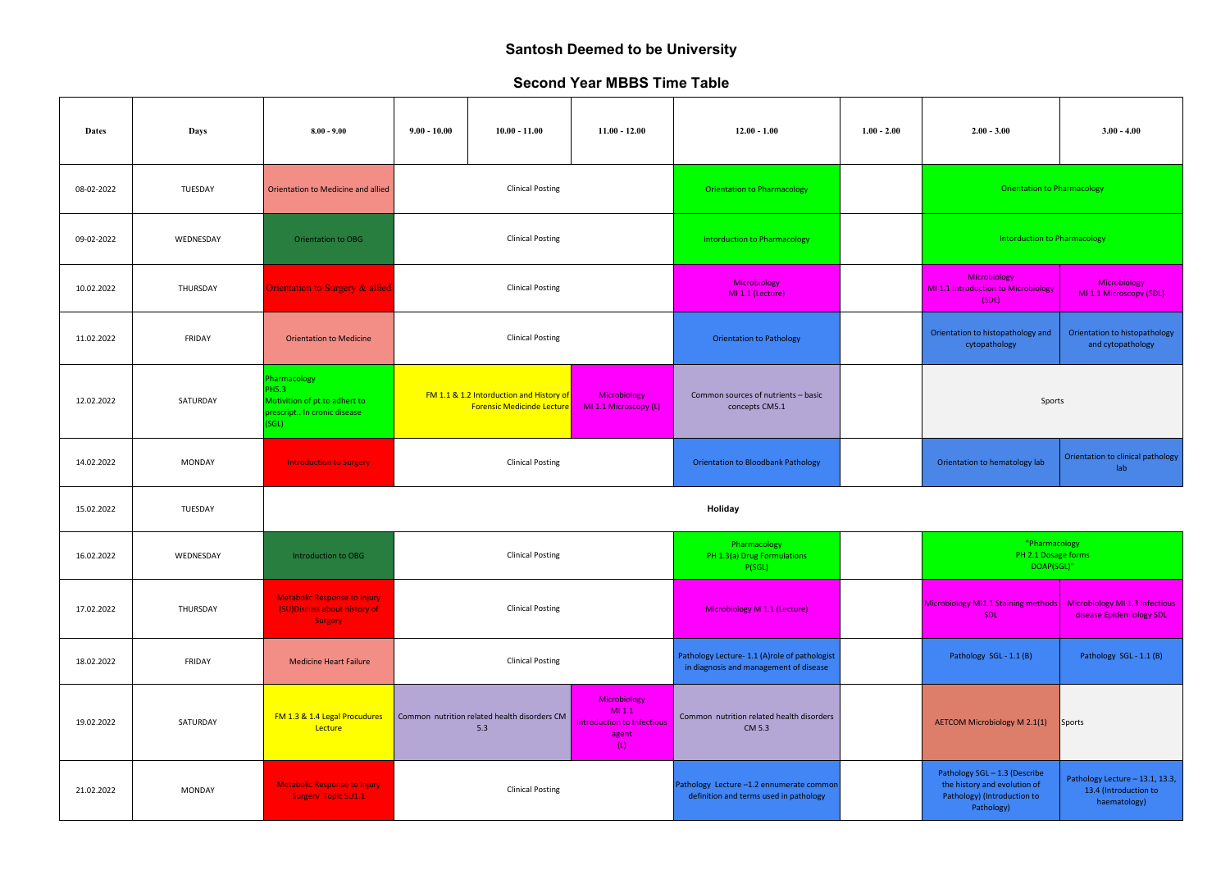## **Santosh Deemed to be University**

## **Second Year MBBS Time Table**

| <b>Dates</b> | Days          | $8.00 - 9.00$                                                                                        | $9.00 - 10.00$ | $10.00 - 11.00$                                                               | $11.00 - 12.00$                                                           | $12.00 - 1.00$                                                                          | $1.00 - 2.00$ | $2.00 - 3.00$                                                                                            | $3.00 - 4.00$                                                            |  |
|--------------|---------------|------------------------------------------------------------------------------------------------------|----------------|-------------------------------------------------------------------------------|---------------------------------------------------------------------------|-----------------------------------------------------------------------------------------|---------------|----------------------------------------------------------------------------------------------------------|--------------------------------------------------------------------------|--|
| 08-02-2022   | TUESDAY       | Orientation to Medicine and allied                                                                   |                | <b>Clinical Posting</b>                                                       |                                                                           | <b>Orientation to Pharmacology</b>                                                      |               | <b>Orientation to Pharmacology</b>                                                                       |                                                                          |  |
| 09-02-2022   | WEDNESDAY     | <b>Orientation to OBG</b>                                                                            |                | <b>Clinical Posting</b>                                                       |                                                                           | <b>Intorduction to Pharmacology</b>                                                     |               | <b>Intorduction to Pharmacology</b>                                                                      |                                                                          |  |
| 10.02.2022   | THURSDAY      | Orientation to Surgery & allied                                                                      |                | <b>Clinical Posting</b>                                                       |                                                                           | Microbiology<br>MI 1.1 (Lecture)                                                        |               | Microbiology<br>MI 1.1 Introduction to Microbiology<br>(SDL)                                             | Microbiology<br>MI 1.1 Microscopy (SDL)                                  |  |
| 11.02.2022   | FRIDAY        | <b>Orientation to Medicine</b>                                                                       |                | <b>Clinical Posting</b>                                                       |                                                                           | <b>Orientation to Pathology</b>                                                         |               | Orientation to histopathology and<br>cytopathology                                                       | Orientation to histopathology<br>and cytopathology                       |  |
| 12.02.2022   | SATURDAY      | Pharmacology<br><b>PH5.3</b><br>Motivition of pt.to adhert to<br>prescript In cronic disease<br>SGL) |                | FM 1.1 & 1.2 Intorduction and History of<br><b>Forensic Medicinde Lecture</b> | Microbiology<br>MI 1.1 Microscopy (L)                                     | Common sources of nutrients - basic<br>concepts CM5.1                                   |               | Sports                                                                                                   |                                                                          |  |
| 14.02.2022   | MONDAY        | <b>Introduction to Surgery</b>                                                                       |                | <b>Clinical Posting</b>                                                       |                                                                           | <b>Orientation to Bloodbank Pathology</b>                                               |               | Orientation to hematology lab                                                                            | Orientation to clinical pathology<br>lab                                 |  |
| 15.02.2022   | TUESDAY       |                                                                                                      |                |                                                                               |                                                                           | Holiday                                                                                 |               |                                                                                                          |                                                                          |  |
| 16.02.2022   | WEDNESDAY     | Introduction to OBG                                                                                  |                | <b>Clinical Posting</b>                                                       |                                                                           | Pharmacology<br>PH 1.3(a) Drug Formulations<br>P(SGL)                                   |               | "Pharmacology<br>PH 2.1 Dosage forms<br>DOAP(SGL)"                                                       |                                                                          |  |
| 17.02.2022   | THURSDAY      | <b>Metabolic Response to Injury</b><br>(SU)Discuss about history of<br>Surgery                       |                | <b>Clinical Posting</b>                                                       |                                                                           | Microbiology M 1.1 (Lecture)                                                            |               | Microbiology MI1.1 Staining methods<br>SDL                                                               | Microbiology MI 1.3 Infectious<br>disease Epidemiology SDL               |  |
| 18.02.2022   | FRIDAY        | <b>Medicine Heart Failure</b>                                                                        |                | <b>Clinical Posting</b>                                                       |                                                                           | Pathology Lecture- 1.1 (A)role of pathologist<br>in diagnosis and management of disease |               | Pathology SGL - 1.1 (B)                                                                                  | Pathology SGL - 1.1 (B)                                                  |  |
| 19.02.2022   | SATURDAY      | FM 1.3 & 1.4 Legal Procudures<br>Lecture                                                             |                | Common nutrition related health disorders CM<br>5.3                           | Microbiology<br>MI.1<br><b>Introduction to Infectious</b><br>agent<br>(L) | Common nutrition related health disorders<br>CM 5.3                                     |               | <b>AETCOM Microbiology M 2.1(1)</b>                                                                      | Sports                                                                   |  |
| 21.02.2022   | <b>MONDAY</b> | <b>Metabolic Response to Injury</b><br><b>Surgery Topic SU1.1</b>                                    |                | <b>Clinical Posting</b>                                                       |                                                                           | Pathology Lecture -1.2 ennumerate commor<br>definition and terms used in pathology      |               | Pathology SGL-1.3 (Describe<br>the history and evolution of<br>Pathology) (Introduction to<br>Pathology) | Pathology Lecture - 13.1, 13.3,<br>13.4 (Introduction to<br>haematology) |  |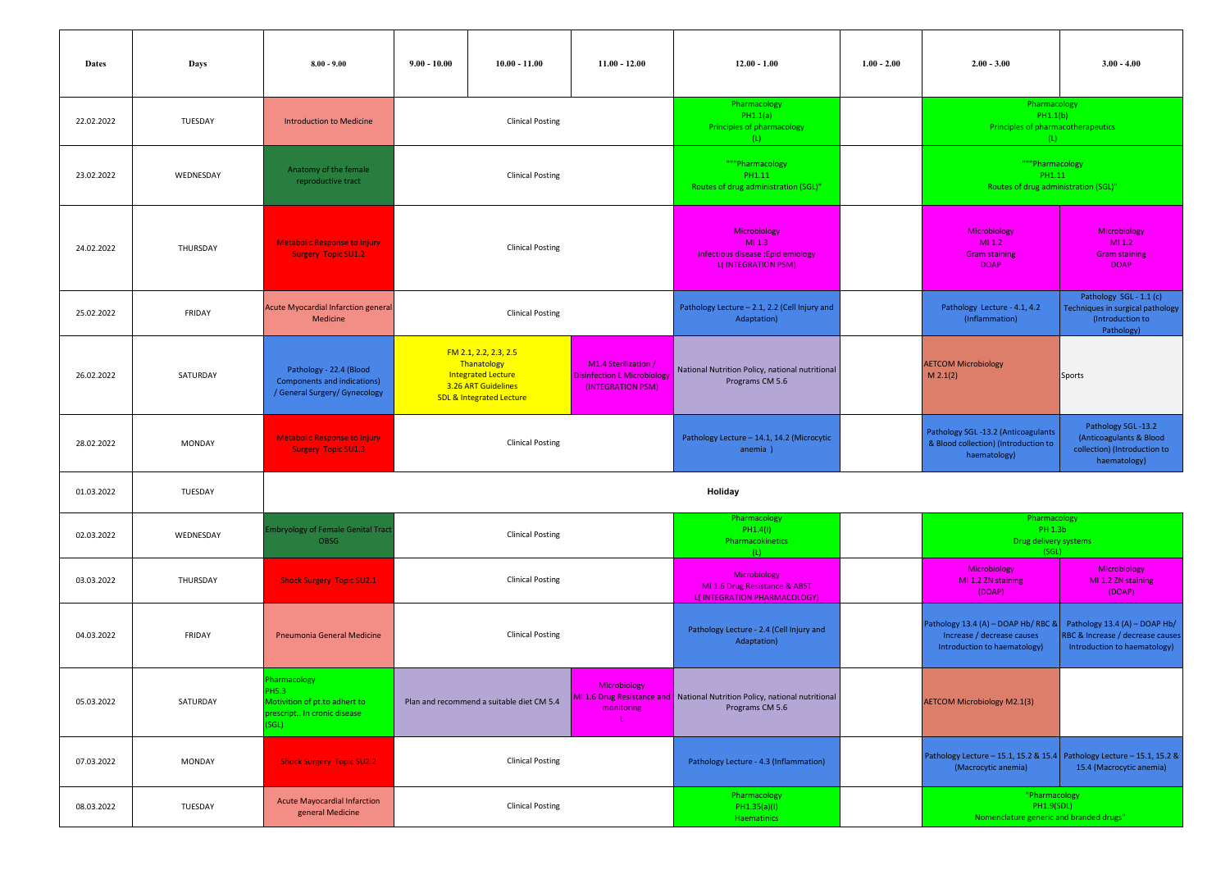| <b>Dates</b> | Days          | $8.00 - 9.00$                                                                                       | $9.00 - 10.00$ | $10.00 - 11.00$                                                                                                                                                                                                    | $11.00 - 12.00$ | $12.00 - 1.00$                                                                                | $1.00 - 2.00$ | $2.00 - 3.00$                                                                                    | $3.00 - 4.00$                                                                                     |
|--------------|---------------|-----------------------------------------------------------------------------------------------------|----------------|--------------------------------------------------------------------------------------------------------------------------------------------------------------------------------------------------------------------|-----------------|-----------------------------------------------------------------------------------------------|---------------|--------------------------------------------------------------------------------------------------|---------------------------------------------------------------------------------------------------|
| 22.02.2022   | TUESDAY       | <b>Introduction to Medicine</b>                                                                     |                | <b>Clinical Posting</b>                                                                                                                                                                                            |                 | Pharmacology<br>PH1.1(a)<br>Principles of pharmacology<br>(L)                                 |               | Pharmacology<br>PH1.1(b)<br>Principles of pharmacotherapeutics<br>(L)                            |                                                                                                   |
| 23.02.2022   | WEDNESDAY     | Anatomy of the female<br>reproductive tract                                                         |                | <b>Clinical Posting</b>                                                                                                                                                                                            |                 | """Pharmacology<br>PH1.11<br>Routes of drug administration (SGL)"                             |               | """Pharmacology<br>PH1.11<br>Routes of drug administration (SGL)"                                |                                                                                                   |
| 24.02.2022   | THURSDAY      | <b>Metabolic Response to Injury</b><br><b>Surgery Topic SU1.2</b>                                   |                | <b>Clinical Posting</b>                                                                                                                                                                                            |                 | Microbiology<br>MI.3<br>Infectious disease : Epid emiology<br><b>L(INTEGRATION PSM)</b>       |               | Microbiology<br>MI 1.2<br><b>Gram staining</b><br><b>DOAP</b>                                    | Microbiology<br>MI.2<br><b>Gram staining</b><br><b>DOAP</b>                                       |
| 25.02.2022   | FRIDAY        | <b>Acute Myocardial Infarction general</b><br>Medicine                                              |                | <b>Clinical Posting</b>                                                                                                                                                                                            |                 | Pathology Lecture - 2.1, 2.2 (Cell Injury and<br>Adaptation)                                  |               | Pathology Lecture - 4.1, 4.2<br>(Inflammation)                                                   | Pathology SGL - 1.1 (c)<br>Techniques in surgical pathology<br>(Introduction to<br>Pathology)     |
| 26.02.2022   | SATURDAY      | Pathology - 22.4 (Blood<br>Components and indications)<br>/ General Surgery/ Gynecology             |                | FM 2.1, 2.2, 2.3, 2.5<br>Thanatology<br>M1.4 Sterilization /<br><b>Integrated Lecture</b><br><b>Disinfection L Microbiology</b><br>3.26 ART Guidelines<br>(INTEGRATION PSM)<br><b>SDL &amp; Integrated Lecture</b> |                 | National Nutrition Policy, national nutritional<br>Programs CM 5.6                            |               | <b>AETCOM Microbiology</b><br>M 2.1(2)                                                           | Sports                                                                                            |
| 28.02.2022   | <b>MONDAY</b> | <b>Metabolic Response to Injury</b><br><b>Surgery Topic SU1.3</b>                                   |                | <b>Clinical Posting</b>                                                                                                                                                                                            |                 | Pathology Lecture - 14.1, 14.2 (Microcytic<br>anemia)                                         |               | Pathology SGL -13.2 (Anticoagulants<br>& Blood collection) (Introduction to<br>haematology)      | Pathology SGL-13.2<br>(Anticoagulants & Blood<br>collection) (Introduction to<br>haematology)     |
| 01.03.2022   | TUESDAY       |                                                                                                     |                |                                                                                                                                                                                                                    |                 | Holiday                                                                                       |               |                                                                                                  |                                                                                                   |
| 02.03.2022   | WEDNESDAY     | <b>Imbryology of Female Genital Trac</b><br><b>OBSG</b>                                             |                | <b>Clinical Posting</b>                                                                                                                                                                                            |                 | Pharmacology<br>PH1.4(I)<br>Pharmacokinetics<br>(L)                                           |               | Pharmacology<br>PH 1.3b<br>Drug delivery systems<br>(SGL)                                        |                                                                                                   |
| 03.03.2022   | THURSDAY      | <b>Shock Surgery Topic SU2.1</b>                                                                    |                | <b>Clinical Posting</b>                                                                                                                                                                                            |                 | Microbiology<br>MI 1.6 Drug Resistance & ABST<br>L(INTEGRATION PHARMACOLOGY)                  |               | Microbiology<br>MI 1.2 ZN staining<br>(DOAP)                                                     | <b>Microbiology</b><br>MI 1.2 ZN staining<br>(DOAP)                                               |
| 04.03.2022   | FRIDAY        | Pneumonia General Medicine                                                                          |                | <b>Clinical Posting</b>                                                                                                                                                                                            |                 | Pathology Lecture - 2.4 (Cell Injury and<br>Adaptation)                                       |               | Pathology 13.4 (A) - DOAP Hb/RBC &<br>Increase / decrease causes<br>Introduction to haematology) | Pathology 13.4 (A) - DOAP Hb/<br>RBC & Increase / decrease causes<br>Introduction to haematology) |
| 05.03.2022   | SATURDAY      | harmacology<br><b>PH5.3</b><br>Motivition of pt.to adhert to<br>prescript In cronic disease<br>SGL) |                | <b>Microbiology</b><br>Plan and recommend a suitable diet CM 5.4<br>monitoring<br>л.                                                                                                                               |                 | MI 1.6 Drug Resistance and National Nutrition Policy, national nutritional<br>Programs CM 5.6 |               | <b>AETCOM Microbiology M2.1(3)</b>                                                               |                                                                                                   |
| 07.03.2022   | <b>MONDAY</b> | <b>Shock Surgery Topic SU2.2</b>                                                                    |                | <b>Clinical Posting</b>                                                                                                                                                                                            |                 | Pathology Lecture - 4.3 (Inflammation)                                                        |               | Pathology Lecture - 15.1, 15.2 & 15.4 Pathology Lecture - 15.1, 15.2 &<br>(Macrocytic anemia)    | 15.4 (Macrocytic anemia)                                                                          |
| 08.03.2022   | TUESDAY       | <b>Acute Mayocardial Infarction</b><br>general Medicine                                             |                | <b>Clinical Posting</b>                                                                                                                                                                                            |                 | Pharmacology<br>PH1.35(a)(I)<br><b>Haematinics</b>                                            |               | "Pharmacology<br><b>PH1.9(SDL)</b><br>Nomenclature generic and branded drugs"                    |                                                                                                   |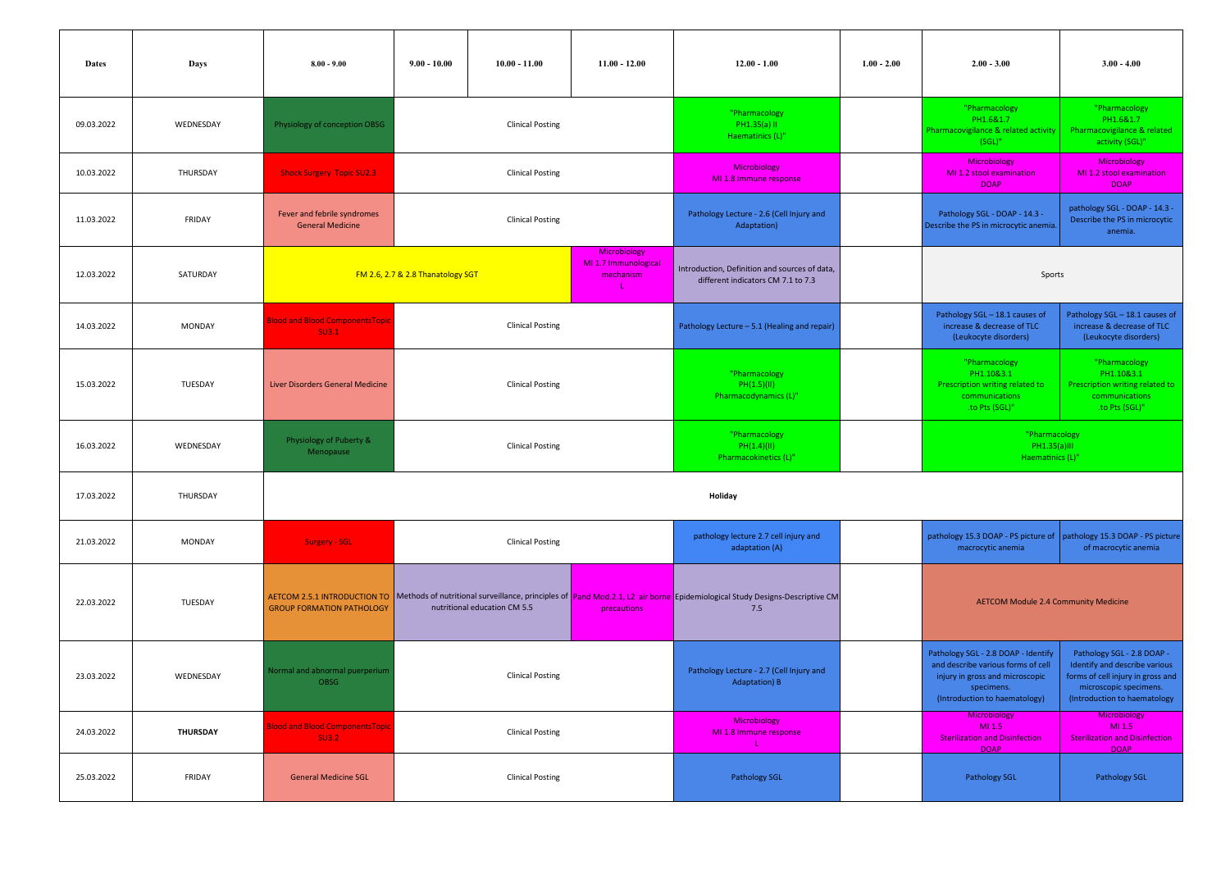| <b>Dates</b> | Days            | $8.00 - 9.00$                                                           | $9.00 - 10.00$                    | $10.00 - 11.00$              | $11.00 - 12.00$                                   | $12.00 - 1.00$                                                                                                                    | $1.00 - 2.00$ | $2.00 - 3.00$                                                                                                                                               | $3.00 - 4.00$                                                                                                                                              |
|--------------|-----------------|-------------------------------------------------------------------------|-----------------------------------|------------------------------|---------------------------------------------------|-----------------------------------------------------------------------------------------------------------------------------------|---------------|-------------------------------------------------------------------------------------------------------------------------------------------------------------|------------------------------------------------------------------------------------------------------------------------------------------------------------|
| 09.03.2022   | WEDNESDAY       | Physiology of conception OBSG                                           |                                   | <b>Clinical Posting</b>      |                                                   | "Pharmacology<br>PH1.35(a) II<br>Haematinics (L)"                                                                                 |               | "Pharmacology<br>PH1.6&1.7<br>Pharmacovigilance & related activity<br>$(SGL)^n$                                                                             | "Pharmacology<br>PH1.6&1.7<br>Pharmacovigilance & related<br>activity (SGL)"                                                                               |
| 10.03.2022   | THURSDAY        | <b>Shock Surgery Topic SU2.3</b>                                        |                                   | <b>Clinical Posting</b>      |                                                   | Microbiology<br>MI 1.8 Immune response                                                                                            |               | Microbiology<br>MI 1.2 stool examination<br><b>DOAP</b>                                                                                                     | Microbiology<br>MI 1.2 stool examination<br><b>DOAP</b>                                                                                                    |
| 11.03.2022   | FRIDAY          | Fever and febrile syndromes<br><b>General Medicine</b>                  |                                   | <b>Clinical Posting</b>      |                                                   | Pathology Lecture - 2.6 (Cell Injury and<br>Adaptation)                                                                           |               | Pathology SGL - DOAP - 14.3 -<br>Describe the PS in microcytic anemia                                                                                       | pathology SGL - DOAP - 14.3 -<br>Describe the PS in microcytic<br>anemia.                                                                                  |
| 12.03.2022   | SATURDAY        |                                                                         | FM 2.6, 2.7 & 2.8 Thanatology SGT |                              | Microbiology<br>MI 1.7 Immunological<br>mechanism | Introduction, Definition and sources of data,<br>different indicators CM 7.1 to 7.3                                               |               | Sports                                                                                                                                                      |                                                                                                                                                            |
| 14.03.2022   | MONDAY          | <b>Blood and Blood ComponentsTopic</b><br><b>SU3.1</b>                  |                                   | <b>Clinical Posting</b>      |                                                   | Pathology Lecture - 5.1 (Healing and repair)                                                                                      |               | Pathology SGL - 18.1 causes of<br>increase & decrease of TLC<br>(Leukocyte disorders)                                                                       | Pathology SGL - 18.1 causes of<br>increase & decrease of TLC<br>(Leukocyte disorders)                                                                      |
| 15.03.2022   | TUESDAY         | Liver Disorders General Medicine                                        |                                   | <b>Clinical Posting</b>      |                                                   | "Pharmacology<br>PH(1.5)(II)<br>Pharmacodynamics (L)"                                                                             |               | "Pharmacology<br>PH1.10&3.1<br>Prescription writing related to<br>communications<br>.to Pts (SGL)"                                                          | "Pharmacology<br>PH1.10&3.1<br>Prescription writing related to<br>communications<br>.to Pts (SGL)"                                                         |
| 16.03.2022   | WEDNESDAY       | Physiology of Puberty &<br>Menopause                                    |                                   | <b>Clinical Posting</b>      |                                                   | "Pharmacology<br>PH(1.4)(II)<br>Pharmacokinetics (L)"                                                                             |               | "Pharmacology<br>PH1.35(a)III<br>Haematinics (L)"                                                                                                           |                                                                                                                                                            |
|              |                 |                                                                         |                                   |                              |                                                   |                                                                                                                                   |               |                                                                                                                                                             |                                                                                                                                                            |
| 17.03.2022   | THURSDAY        |                                                                         |                                   |                              |                                                   | Holiday                                                                                                                           |               |                                                                                                                                                             |                                                                                                                                                            |
| 21.03.2022   | MONDAY          | <b>Surgery - SGL</b>                                                    |                                   | <b>Clinical Posting</b>      |                                                   | pathology lecture 2.7 cell injury and<br>adaptation (A)                                                                           |               | pathology 15.3 DOAP - PS picture of<br>macrocytic anemia                                                                                                    | pathology 15.3 DOAP - PS picture<br>of macrocytic anemia                                                                                                   |
| 22.03.2022   | TUESDAY         | <b>AETCOM 2.5.1 INTRODUCTION TO</b><br><b>GROUP FORMATION PATHOLOGY</b> |                                   | nutritional education CM 5.5 | precautions                                       | Methods of nutritional surveillance, principles of Pand Mod.2.1, L2 air borne Epidemiological Study Designs-Descriptive CM<br>7.5 |               | <b>AETCOM Module 2.4 Community Medicine</b>                                                                                                                 |                                                                                                                                                            |
| 23.03.2022   | WEDNESDAY       | Normal and abnormal puerperium<br>OBSG                                  |                                   | <b>Clinical Posting</b>      |                                                   | Pathology Lecture - 2.7 (Cell Injury and<br>Adaptation) B                                                                         |               | Pathology SGL - 2.8 DOAP - Identify<br>and describe various forms of cell<br>injury in gross and microscopic<br>specimens.<br>(Introduction to haematology) | Pathology SGL - 2.8 DOAP -<br>Identify and describe various<br>forms of cell injury in gross and<br>microscopic specimens.<br>(Introduction to haematology |
| 24.03.2022   | <b>THURSDAY</b> | <b>Blood and Blood ComponentsTopic</b><br><b>SU3.2</b>                  |                                   | <b>Clinical Posting</b>      |                                                   | <b>Microbiology</b><br>MI 1.8 Immune response                                                                                     |               | Microbiology<br>MI 1.5<br><b>Sterilization and Disinfection</b><br><b>DOAP</b>                                                                              | <b>Microbiology</b><br>MI 1.5<br><b>Sterilization and Disinfection</b><br><b>DOAP</b>                                                                      |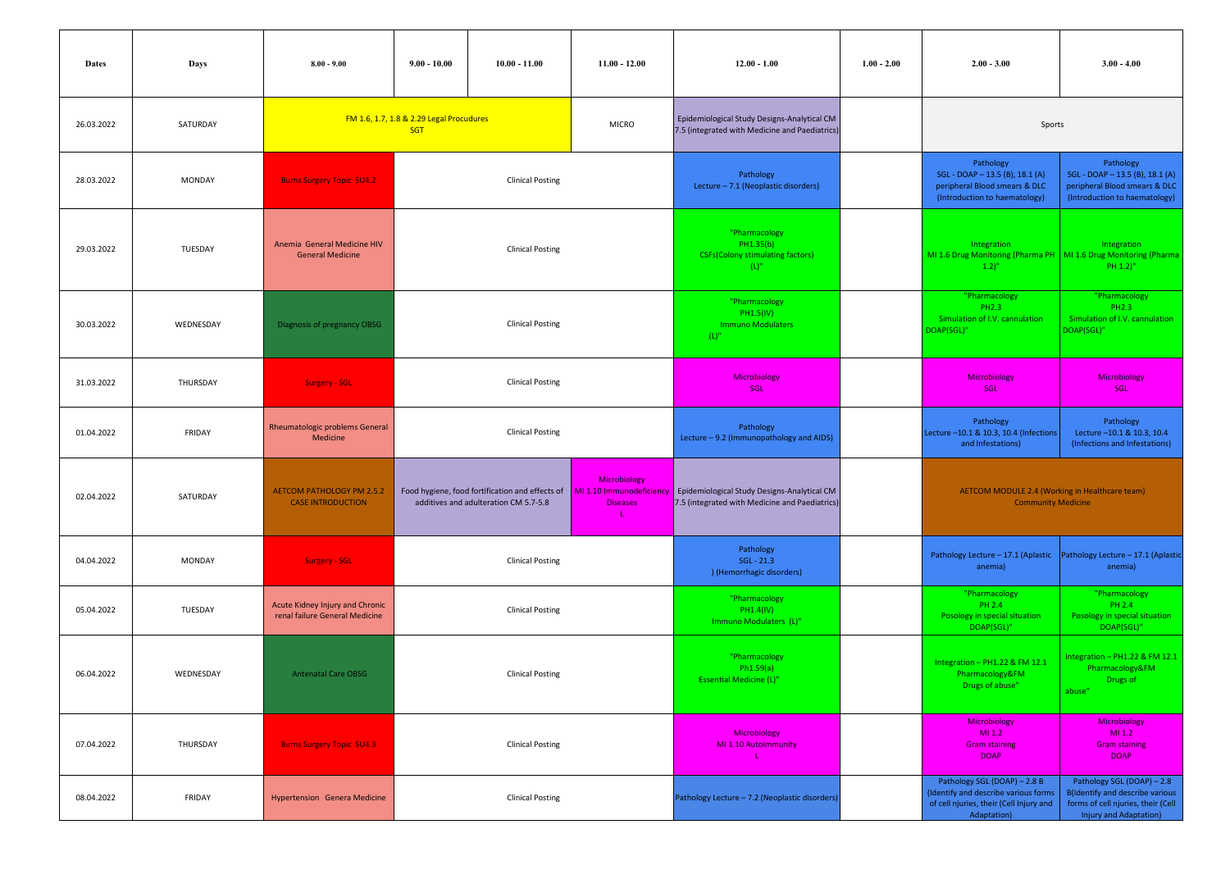| Dates      | Days      | $8.00 - 9.00$                                                     | $9.00 - 10.00$                                         | $10.00 - 11.00$                       | $11.00 - 12.00$                                                                                                     | $12.00 - 1.00$                                                                                       | $1.00 - 2.00$ | $2.00 - 3.00$                                                                                                                  | $3.00 - 4.00$                                                                                                                         |
|------------|-----------|-------------------------------------------------------------------|--------------------------------------------------------|---------------------------------------|---------------------------------------------------------------------------------------------------------------------|------------------------------------------------------------------------------------------------------|---------------|--------------------------------------------------------------------------------------------------------------------------------|---------------------------------------------------------------------------------------------------------------------------------------|
| 26.03.2022 | SATURDAY  |                                                                   | FM 1.6, 1.7, 1.8 & 2.29 Legal Procudures<br><b>SGT</b> |                                       | <b>MICRO</b>                                                                                                        | Epidemiological Study Designs-Analytical CM<br>7.5 (integrated with Medicine and Paediatrics)        |               | Sports                                                                                                                         |                                                                                                                                       |
| 28.03.2022 | MONDAY    | <b>Burns Surgery Topic SU4.2</b>                                  |                                                        | <b>Clinical Posting</b>               |                                                                                                                     | Pathology<br>Lecture - 7.1 (Neoplastic disorders)                                                    |               | Pathology<br>SGL - DOAP - 13.5 (B), 18.1 (A)<br>peripheral Blood smears & DLC<br>(Introduction to haematology)                 | Pathology<br>SGL - DOAP - 13.5 (B), 18.1 (A)<br>peripheral Blood smears & DLC<br>(Introduction to haematology)                        |
| 29.03.2022 | TUESDAY   | Anemia General Medicine HIV<br><b>General Medicine</b>            |                                                        | <b>Clinical Posting</b>               |                                                                                                                     | "Pharmacology<br>PH1.35(b)<br><b>CSFs(Colony stimulating factors)</b><br>$(L)^n$                     |               | Integration<br>MI 1.6 Drug Monitoring (Pharma PH<br>$(1.2)$ "                                                                  | Integration<br>MI 1.6 Drug Monitoring (Pharma<br>PH 1.2)"                                                                             |
| 30.03.2022 | WEDNESDAY | Diagnosis of pregnancy OBSG                                       |                                                        | <b>Clinical Posting</b>               |                                                                                                                     | "Pharmacology<br>PH1.5(IV)<br><b>Immuno Modulaters</b><br>$(L)$ "                                    |               | "Pharmacology<br>PH2.3<br>Simulation of I.V. cannulation<br>DOAP(SGL)"                                                         | "Pharmacology<br><b>PH2.3</b><br>Simulation of I.V. cannulation<br>DOAP(SGL)"                                                         |
| 31.03.2022 | THURSDAY  | <b>Surgery - SGL</b>                                              |                                                        | <b>Clinical Posting</b>               |                                                                                                                     | Microbiology<br>SGL                                                                                  |               | Microbiology<br>SGL                                                                                                            | Microbiology<br>SGL                                                                                                                   |
| 01.04.2022 | FRIDAY    | <b>Rheumatologic problems General</b><br>Medicine                 |                                                        | <b>Clinical Posting</b>               |                                                                                                                     | Pathology<br>Lecture - 9.2 (Immunopathology and AIDS)                                                |               | Pathology<br>Lecture -10.1 & 10.3, 10.4 (Infections<br>and Infestations)                                                       | Pathology<br>Lecture -10.1 & 10.3, 10.4<br>(Infections and Infestations)                                                              |
| 02.04.2022 | SATURDAY  | <b>AETCOM PATHOLOGY PM 2.5.2</b><br><b>CASE INTRODUCTION</b>      |                                                        | additives and adulteration CM 5.7-5.8 | Microbiology<br>Food hygiene, food fortification and effects of   MI 1.10 Immunodeficiency<br><b>Diseases</b><br>L. | <b>Epidemiological Study Designs-Analytical CM</b><br>7.5 (integrated with Medicine and Paediatrics) |               | AETCOM MODULE 2.4 (Working in Healthcare team)<br><b>Community Medicine</b>                                                    |                                                                                                                                       |
| 04.04.2022 | MONDAY    | <b>Surgery - SGL</b>                                              |                                                        | <b>Clinical Posting</b>               |                                                                                                                     | Pathology<br>$SGL - 21.3$<br>) (Hemorrhagic disorders)                                               |               | Pathology Lecture - 17.1 (Aplastic<br>anemia)                                                                                  | Pathology Lecture - 17.1 (Aplastic<br>anemia)                                                                                         |
| 05.04.2022 | TUESDAY   | Acute Kidney Injury and Chronic<br>renal failure General Medicine |                                                        | <b>Clinical Posting</b>               |                                                                                                                     | "Pharmacology<br><b>PH1.4(IV)</b><br>Immuno Modulaters (L)"                                          |               | "Pharmacology<br>PH 2.4<br>Posology in special situation<br>DOAP(SGL)"                                                         | "Pharmacology<br>PH 2.4<br>Posology in special situation<br>DOAP(SGL)"                                                                |
| 06.04.2022 | WEDNESDAY | <b>Antenatal Care OBSG</b>                                        |                                                        | <b>Clinical Posting</b>               |                                                                                                                     | "Pharmacology<br>Ph1.59(a)<br><b>Essential Medicine (L)"</b>                                         |               | Integration - PH1.22 & FM 12.1<br>Pharmacology&FM<br>Drugs of abuse                                                            | Integration - PH1.22 & FM 12.1<br>Pharmacology&FM<br>Drugs of<br>abuse"                                                               |
| 07.04.2022 | THURSDAY  | <b>Burns Surgery Topic SU4.3</b>                                  |                                                        | <b>Clinical Posting</b>               |                                                                                                                     | Microbiology<br>MI 1.10 Autoimmunity<br>L.                                                           |               | Microbiology<br>MI 1.2<br><b>Gram staining</b><br><b>DOAP</b>                                                                  | Microbiology<br>MI.2<br><b>Gram staining</b><br><b>DOAP</b>                                                                           |
| 08.04.2022 | FRIDAY    | <b>Hypertension</b> Genera Medicine                               |                                                        | <b>Clinical Posting</b>               |                                                                                                                     | Pathology Lecture - 7.2 (Neoplastic disorders)                                                       |               | Pathology SGL (DOAP) - 2.8 B<br>(Identify and describe various forms<br>of cell njuries, their (Cell Injury and<br>Adaptation) | Pathology SGL (DOAP) - 2.8<br><b>B</b> (Identify and describe various<br>forms of cell njuries, their (Cell<br>Injury and Adaptation) |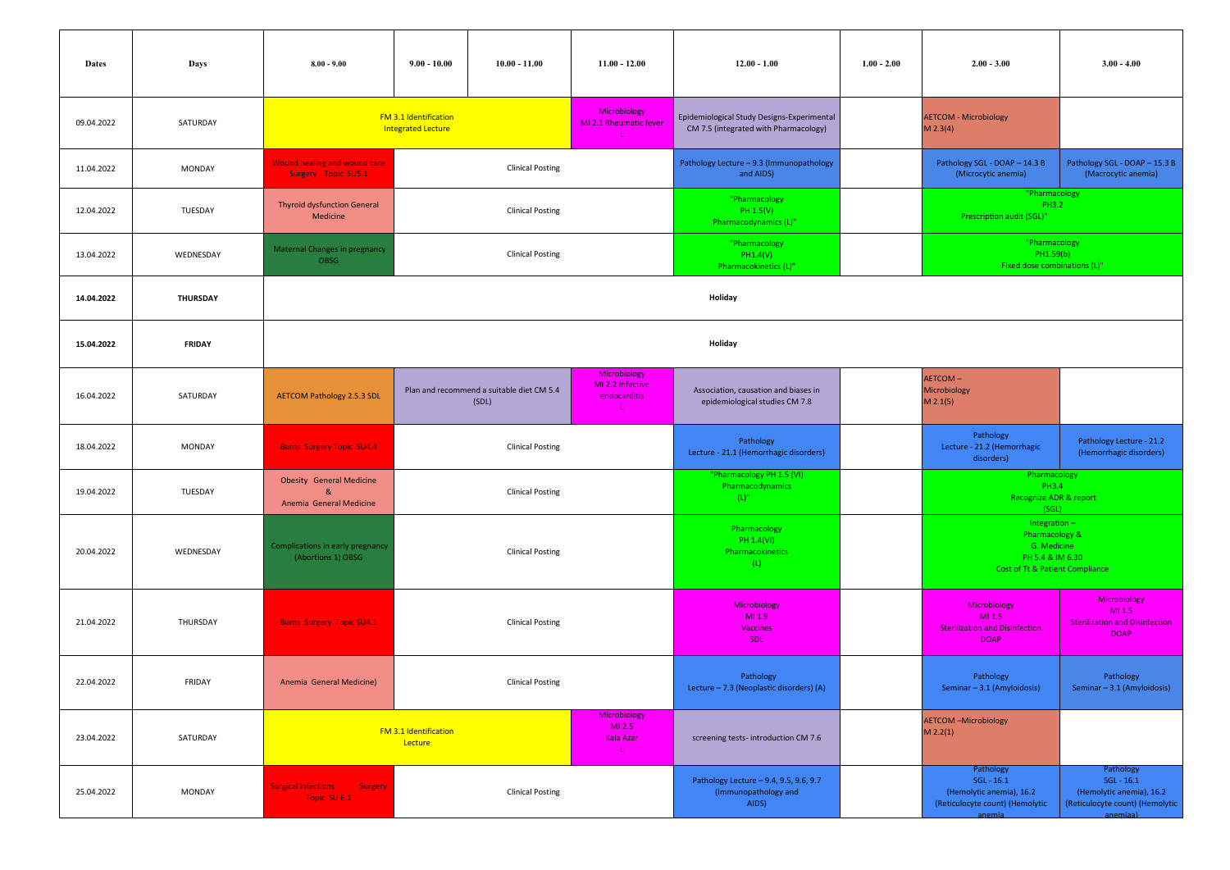| <b>Dates</b> | Days          | $8.00 - 9.00$                                                                             | $9.00 - 10.00$                                     | $10.00 - 11.00$                                    | $11.00 - 12.00$                                  | $12.00 - 1.00$                                                                      | $1.00 - 2.00$ | $2.00 - 3.00$                                                                                        | $3.00 - 4.00$                                                                                        |
|--------------|---------------|-------------------------------------------------------------------------------------------|----------------------------------------------------|----------------------------------------------------|--------------------------------------------------|-------------------------------------------------------------------------------------|---------------|------------------------------------------------------------------------------------------------------|------------------------------------------------------------------------------------------------------|
| 09.04.2022   | SATURDAY      |                                                                                           | FM 3.1 Identification<br><b>Integrated Lecture</b> |                                                    | Microbiology<br>MI 2.1 Rheumatic fever<br>-L     | Epidemiological Study Designs-Experimental<br>CM 7.5 (integrated with Pharmacology) |               | <b>AETCOM - Microbiology</b><br>M 2.3(4)                                                             |                                                                                                      |
| 11.04.2022   | MONDAY        | <b>Wound healing and wound care</b><br>Surgery Topic SU5.1                                |                                                    | <b>Clinical Posting</b>                            |                                                  | Pathology Lecture - 9.3 (Immunopathology<br>and AIDS)                               |               | Pathology SGL - DOAP - 14.3 B<br>(Microcytic anemia)                                                 | Pathology SGL - DOAP - 15.3 B<br>(Macrocytic anemia)                                                 |
| 12.04.2022   | TUESDAY       | <b>Thyroid dysfunction General</b><br>Medicine                                            |                                                    | <b>Clinical Posting</b>                            |                                                  | "Pharmacology<br>PH 1.5(V)<br>Pharmacodynamics (L)"                                 |               | "Pharmacology<br>PH3.2<br>Prescription audit (SGL)"                                                  |                                                                                                      |
| 13.04.2022   | WEDNESDAY     | Maternal Changes in pregnancy<br>OBSG                                                     |                                                    | <b>Clinical Posting</b>                            |                                                  | "Pharmacology<br>PH1.4(V)<br>Pharmacokinetics (L)"                                  |               | "Pharmacology<br>PH1.59(b)<br>Fixed dose combinations (L)"                                           |                                                                                                      |
| 14.04.2022   | THURSDAY      |                                                                                           |                                                    |                                                    |                                                  | Holiday                                                                             |               |                                                                                                      |                                                                                                      |
| 15.04.2022   | <b>FRIDAY</b> |                                                                                           |                                                    |                                                    |                                                  | Holiday                                                                             |               |                                                                                                      |                                                                                                      |
| 16.04.2022   | SATURDAY      | <b>AETCOM Pathology 2.5.3 SDL</b>                                                         |                                                    | Plan and recommend a suitable diet CM 5.4<br>(SDL) | Microbiology<br>MI 2.2 Infective<br>endocarditis | Association, causation and biases in<br>epidemiological studies CM 7.8              |               | AETCOM-<br>Microbiology<br>M 2.1(5)                                                                  |                                                                                                      |
| 18.04.2022   | MONDAY        | <b>Burns Surgery Topic SU4.4</b>                                                          |                                                    | <b>Clinical Posting</b>                            |                                                  | Pathology<br>Lecture - 21.1 (Hemorrhagic disorders)                                 |               | Pathology<br>Lecture - 21.2 (Hemorrhagic<br>disorders)                                               | Pathology Lecture - 21.2<br>(Hemorrhagic disorders)                                                  |
| 19.04.2022   | TUESDAY       | <b>Obesity General Medicine</b><br>$\mathcal{R}_{\mathcal{C}}$<br>Anemia General Medicine |                                                    | <b>Clinical Posting</b>                            |                                                  | "Pharmacology PH 1.5 (VI)<br>Pharmacodynamics<br>$(L)^n$                            |               | Pharmacology<br><b>PH3.4</b><br>Recognize ADR & report<br>(SGL)                                      |                                                                                                      |
| 20.04.2022   | WEDNESDAY     | Complications in early pregnancy<br>(Abortions 1) OBSG                                    |                                                    | <b>Clinical Posting</b>                            |                                                  | Pharmacology<br>PH 1.4(VI)<br>Pharmacokinetics<br>(L)                               |               | Integration-<br>Pharmacology &<br>G. Medicine<br>PH 5.4 & IM 6.30<br>Cost of Tt & Patient Compliance |                                                                                                      |
| 21.04.2022   | THURSDAY      | <b>Burns Surgery Topic SU4.1</b>                                                          |                                                    | <b>Clinical Posting</b>                            |                                                  | Microbiology<br>MI 1.9<br>Vaccines<br>SDL                                           |               | Microbiology<br>MI 1.5<br><b>Sterilization and Disinfection</b><br><b>DOAP</b>                       | Microbiology<br>MI 1.5<br><b>Sterilization and Disinfection</b><br><b>DOAP</b>                       |
| 22.04.2022   | FRIDAY        | Anemia General Medicine)                                                                  |                                                    | <b>Clinical Posting</b>                            |                                                  | Pathology<br>Lecture - 7.3 (Neoplastic disorders) (A)                               |               | Pathology<br>Seminar - 3.1 (Amyloidosis)                                                             | Pathology<br>Seminar - 3.1 (Amyloidosis)                                                             |
| 23.04.2022   | SATURDAY      |                                                                                           | FM 3.1 Identification<br>Lecture                   |                                                    | Microbiology<br>MI 2.5<br><b>Kala Azar</b><br>L. | screening tests-introduction CM 7.6                                                 |               | <b>AETCOM-Microbiology</b><br>$M$ 2.2(1)                                                             |                                                                                                      |
| 25.04.2022   | MONDAY        | <b>Surgical infections</b><br>Surgery<br>Topic SU 6.1                                     |                                                    | <b>Clinical Posting</b>                            |                                                  | Pathology Lecture - 9.4, 9.5, 9.6, 9.7<br>(Immunopathology and<br>AIDS)             |               | Pathology<br>$SGL - 16.1$<br>(Hemolytic anemia), 16.2<br>(Reticulocyte count) (Hemolytic<br>anemia   | Pathology<br>$SGL - 16.1$<br>(Hemolytic anemia), 16.2<br>(Reticulocyte count) (Hemolytic<br>anemiaa) |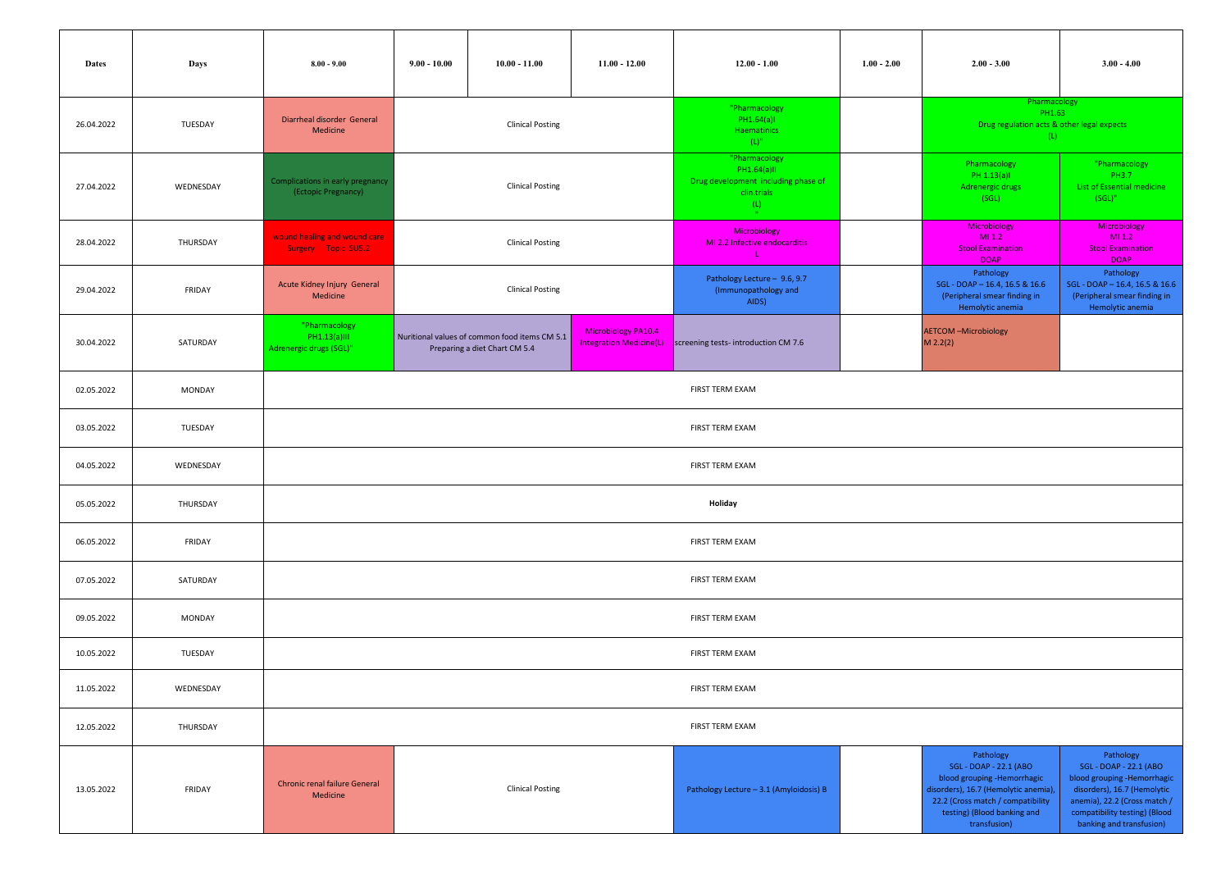| <b>Dates</b> | Days      | $8.00 - 9.00$                                            | $9.00 - 10.00$ | $10.00 - 11.00$                                                                | $11.00 - 12.00$                                              | $12.00 - 1.00$                                                                                           | $1.00 - 2.00$ | $2.00 - 3.00$                                                                                                                                                                                  | $3.00 - 4.00$                                                                                                                                                                                  |  |  |
|--------------|-----------|----------------------------------------------------------|----------------|--------------------------------------------------------------------------------|--------------------------------------------------------------|----------------------------------------------------------------------------------------------------------|---------------|------------------------------------------------------------------------------------------------------------------------------------------------------------------------------------------------|------------------------------------------------------------------------------------------------------------------------------------------------------------------------------------------------|--|--|
| 26.04.2022   | TUESDAY   | Diarrheal disorder General<br>Medicine                   |                | <b>Clinical Posting</b>                                                        |                                                              | "Pharmacology<br>PH1.64(a)I<br>Haematinics<br>$(L)^n$                                                    |               | Pharmacology<br>PH1.63<br>Drug regulation acts & other legal expects<br>(L)                                                                                                                    |                                                                                                                                                                                                |  |  |
| 27.04.2022   | WEDNESDAY | Complications in early pregnancy<br>(Ectopic Pregnancy)  |                | <b>Clinical Posting</b>                                                        |                                                              | "Pharmacology<br>PH1.64(a)II<br>Drug development including phase of<br>clin.trials<br>(L)<br><b>COLL</b> |               | Pharmacology<br>PH 1.13(a)I<br>Adrenergic drugs<br>(SGL)                                                                                                                                       | "Pharmacology<br>PH3.7<br>List of Essential medicine<br>$(SGL)^n$                                                                                                                              |  |  |
| 28.04.2022   | THURSDAY  | wound healing and wound care<br>Surgery Topic SU5.2      |                | <b>Clinical Posting</b>                                                        |                                                              | Microbiology<br>MI 2.2 Infective endocarditis<br>L                                                       |               | Microbiology<br>MI.2<br><b>Stool Examination</b><br><b>DOAP</b>                                                                                                                                | Microbiology<br>MI 1.2<br><b>Stool Examination</b><br><b>DOAP</b>                                                                                                                              |  |  |
| 29.04.2022   | FRIDAY    | Acute Kidney Injury General<br>Medicine                  |                | <b>Clinical Posting</b>                                                        |                                                              | Pathology Lecture - 9.6, 9.7<br>(Immunopathology and<br>AIDS)                                            |               | Pathology<br>SGL - DOAP - 16.4, 16.5 & 16.6<br>(Peripheral smear finding in<br>Hemolytic anemia                                                                                                | Pathology<br>SGL - DOAP - 16.4, 16.5 & 16.6<br>(Peripheral smear finding in<br>Hemolytic anemia                                                                                                |  |  |
| 30.04.2022   | SATURDAY  | "Pharmacology<br>PH1.13(a)III<br>Adrenergic drugs (SGL)" |                | Nuritional values of common food items CM 5.1<br>Preparing a diet Chart CM 5.4 | <b>Microbiology PA10.4</b><br><b>Integration Medicine(L)</b> | screening tests-introduction CM 7.6                                                                      |               | <b>AETCOM-Microbiology</b><br>M 2.2(2)                                                                                                                                                         |                                                                                                                                                                                                |  |  |
| 02.05.2022   | MONDAY    |                                                          |                |                                                                                |                                                              | FIRST TERM EXAM                                                                                          |               |                                                                                                                                                                                                |                                                                                                                                                                                                |  |  |
| 03.05.2022   | TUESDAY   |                                                          |                |                                                                                |                                                              | FIRST TERM EXAM                                                                                          |               |                                                                                                                                                                                                |                                                                                                                                                                                                |  |  |
| 04.05.2022   | WEDNESDAY |                                                          |                |                                                                                |                                                              | FIRST TERM EXAM                                                                                          |               |                                                                                                                                                                                                |                                                                                                                                                                                                |  |  |
| 05.05.2022   | THURSDAY  |                                                          |                |                                                                                |                                                              | Holiday                                                                                                  |               |                                                                                                                                                                                                |                                                                                                                                                                                                |  |  |
| 06.05.2022   | FRIDAY    |                                                          |                |                                                                                |                                                              | FIRST TERM EXAM                                                                                          |               |                                                                                                                                                                                                |                                                                                                                                                                                                |  |  |
| 07.05.2022   | SATURDAY  |                                                          |                |                                                                                |                                                              | FIRST TERM EXAM                                                                                          |               |                                                                                                                                                                                                |                                                                                                                                                                                                |  |  |
| 09.05.2022   | MONDAY    |                                                          |                |                                                                                |                                                              | FIRST TERM EXAM                                                                                          |               |                                                                                                                                                                                                |                                                                                                                                                                                                |  |  |
| 10.05.2022   | TUESDAY   |                                                          |                |                                                                                |                                                              | FIRST TERM EXAM                                                                                          |               |                                                                                                                                                                                                |                                                                                                                                                                                                |  |  |
| 11.05.2022   | WEDNESDAY |                                                          |                |                                                                                |                                                              | FIRST TERM EXAM                                                                                          |               |                                                                                                                                                                                                |                                                                                                                                                                                                |  |  |
| 12.05.2022   | THURSDAY  |                                                          |                |                                                                                |                                                              | FIRST TERM EXAM                                                                                          |               |                                                                                                                                                                                                |                                                                                                                                                                                                |  |  |
| 13.05.2022   | FRIDAY    | Chronic renal failure General<br>Medicine                |                | <b>Clinical Posting</b>                                                        |                                                              | Pathology Lecture - 3.1 (Amyloidosis) B                                                                  |               | Pathology<br>SGL - DOAP - 22.1 (ABO<br>blood grouping -Hemorrhagic<br>disorders), 16.7 (Hemolytic anemia),<br>22.2 (Cross match / compatibility<br>testing) (Blood banking and<br>transfusion) | Pathology<br>SGL - DOAP - 22.1 (ABO<br>blood grouping -Hemorrhagic<br>disorders), 16.7 (Hemolytic<br>anemia), 22.2 (Cross match /<br>compatibility testing) (Blood<br>banking and transfusion) |  |  |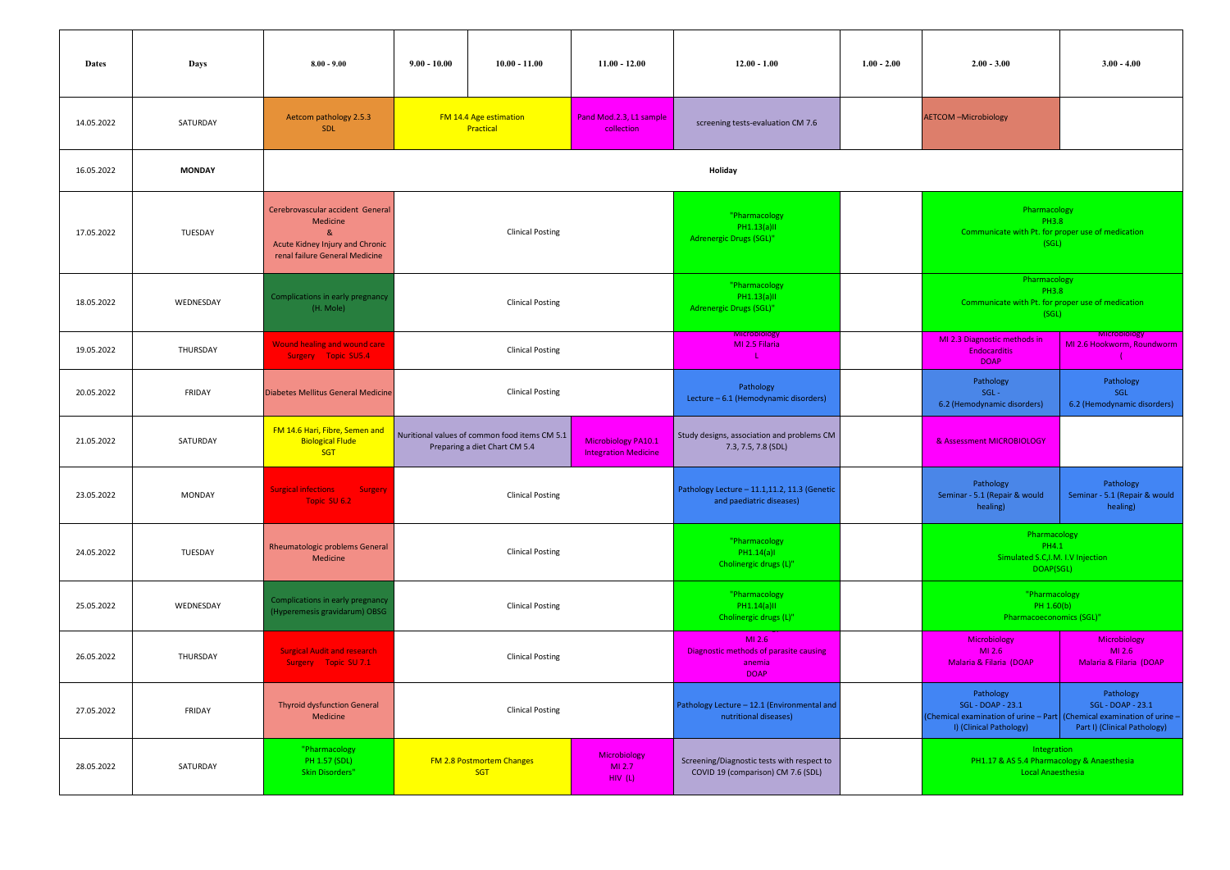| <b>Dates</b> | Days          | $8.00 - 9.00$                                                                                                          | $9.00 - 10.00$ | $10.00 - 11.00$                                                                | $11.00 - 12.00$                                    | $12.00 - 1.00$                                                                   | $1.00 - 2.00$ | $2.00 - 3.00$                                                                                                                                  | $3.00 - 4.00$                                                         |
|--------------|---------------|------------------------------------------------------------------------------------------------------------------------|----------------|--------------------------------------------------------------------------------|----------------------------------------------------|----------------------------------------------------------------------------------|---------------|------------------------------------------------------------------------------------------------------------------------------------------------|-----------------------------------------------------------------------|
| 14.05.2022   | SATURDAY      | Aetcom pathology 2.5.3<br>SDL                                                                                          |                | FM 14.4 Age estimation<br>Practical                                            | Pand Mod.2.3, L1 sample<br>collection              | screening tests-evaluation CM 7.6                                                |               | <b>AETCOM-Microbiology</b>                                                                                                                     |                                                                       |
| 16.05.2022   | <b>MONDAY</b> |                                                                                                                        |                |                                                                                |                                                    | Holiday                                                                          |               |                                                                                                                                                |                                                                       |
| 17.05.2022   | TUESDAY       | Cerebrovascular accident General<br>Medicine<br>&<br>Acute Kidney Injury and Chronic<br>renal failure General Medicine |                | <b>Clinical Posting</b>                                                        |                                                    | "Pharmacology<br>PH1.13(a)II<br>Adrenergic Drugs (SGL)"                          |               | Pharmacology<br><b>PH3.8</b><br>Communicate with Pt. for proper use of medication<br>(SGL)                                                     |                                                                       |
| 18.05.2022   | WEDNESDAY     | Complications in early pregnancy<br>(H. Mole)                                                                          |                | <b>Clinical Posting</b>                                                        |                                                    | "Pharmacology<br>PH1.13(a)II<br>Adrenergic Drugs (SGL)"                          |               | Pharmacology<br><b>PH3.8</b><br>Communicate with Pt. for proper use of medication<br>(SGL)                                                     |                                                                       |
| 19.05.2022   | THURSDAY      | Wound healing and wound care<br><b>Surgery Topic SU5.4</b>                                                             |                | <b>Clinical Posting</b>                                                        |                                                    | Viicrobiology<br>MI 2.5 Filaria<br>$\mathsf{L}$                                  |               | MI 2.3 Diagnostic methods in<br><b>Endocarditis</b><br><b>DOAP</b>                                                                             | <b>AICrobiology</b><br>MI 2.6 Hookworm, Roundworm                     |
| 20.05.2022   | FRIDAY        | Diabetes Mellitus General Medicine                                                                                     |                | <b>Clinical Posting</b>                                                        |                                                    | Pathology<br>Lecture - 6.1 (Hemodynamic disorders)                               |               | Pathology<br>$SGL -$<br>6.2 (Hemodynamic disorders)                                                                                            | Pathology<br>SGL<br>6.2 (Hemodynamic disorders)                       |
| 21.05.2022   | SATURDAY      | FM 14.6 Hari, Fibre, Semen and<br><b>Biological Flude</b><br><b>SGT</b>                                                |                | Nuritional values of common food items CM 5.1<br>Preparing a diet Chart CM 5.4 | Microbiology PA10.1<br><b>Integration Medicine</b> | Study designs, association and problems CM<br>7.3, 7.5, 7.8 (SDL)                |               | & Assessment MICROBIOLOGY                                                                                                                      |                                                                       |
| 23.05.2022   | MONDAY        | <b>Surgical infections</b><br>Surgery<br>Topic SU 6.2                                                                  |                | <b>Clinical Posting</b>                                                        |                                                    | Pathology Lecture - 11.1,11.2, 11.3 (Genetic<br>and paediatric diseases)         |               | Pathology<br>Seminar - 5.1 (Repair & would<br>healing)                                                                                         | Pathology<br>Seminar - 5.1 (Repair & would<br>healing)                |
| 24.05.2022   | TUESDAY       | <b>Rheumatologic problems General</b><br>Medicine                                                                      |                | <b>Clinical Posting</b>                                                        |                                                    | "Pharmacology<br>PH1.14(a)I<br>Cholinergic drugs (L)"                            |               | Pharmacology<br>PH4.1<br>Simulated S.C, I.M. I.V Injection<br>DOAP(SGL)                                                                        |                                                                       |
| 25.05.2022   | WEDNESDAY     | Complications in early pregnancy<br>(Hyperemesis gravidarum) OBSG                                                      |                | <b>Clinical Posting</b>                                                        |                                                    | "Pharmacology<br>PH1.14(a)II<br>Cholinergic drugs (L)"                           |               | "Pharmacology<br>PH 1.60(b)<br>Pharmacoeconomics (SGL)"                                                                                        |                                                                       |
| 26.05.2022   | THURSDAY      | <b>Surgical Audit and research</b><br>Surgery Topic SU 7.1                                                             |                | <b>Clinical Posting</b>                                                        |                                                    | MI 2.6<br>Diagnostic methods of parasite causing<br>anemia<br><b>DOAP</b>        |               | Microbiology<br>MI 2.6<br>Malaria & Filaria (DOAP                                                                                              | Microbiology<br>MI 2.6<br>Malaria & Filaria (DOAP                     |
| 27.05.2022   | FRIDAY        | <b>Thyroid dysfunction General</b><br>Medicine                                                                         |                | <b>Clinical Posting</b>                                                        |                                                    | Pathology Lecture - 12.1 (Environmental and<br>nutritional diseases)             |               | Pathology<br><b>SGL - DOAP - 23.1</b><br>(Chemical examination of urine $-$ Part (Chemical examination of urine $-$<br>I) (Clinical Pathology) | Pathology<br><b>SGL - DOAP - 23.1</b><br>Part I) (Clinical Pathology) |
| 28.05.2022   | SATURDAY      | "Pharmacology<br>PH 1.57 (SDL)<br><b>Skin Disorders"</b>                                                               |                | <b>FM 2.8 Postmortem Changes</b><br><b>SGT</b>                                 | Microbiology<br>MI 2.7<br>HIV (L)                  | Screening/Diagnostic tests with respect to<br>COVID 19 (comparison) CM 7.6 (SDL) |               | Integration<br>PH1.17 & AS 5.4 Pharmacology & Anaesthesia<br><b>Local Anaesthesia</b>                                                          |                                                                       |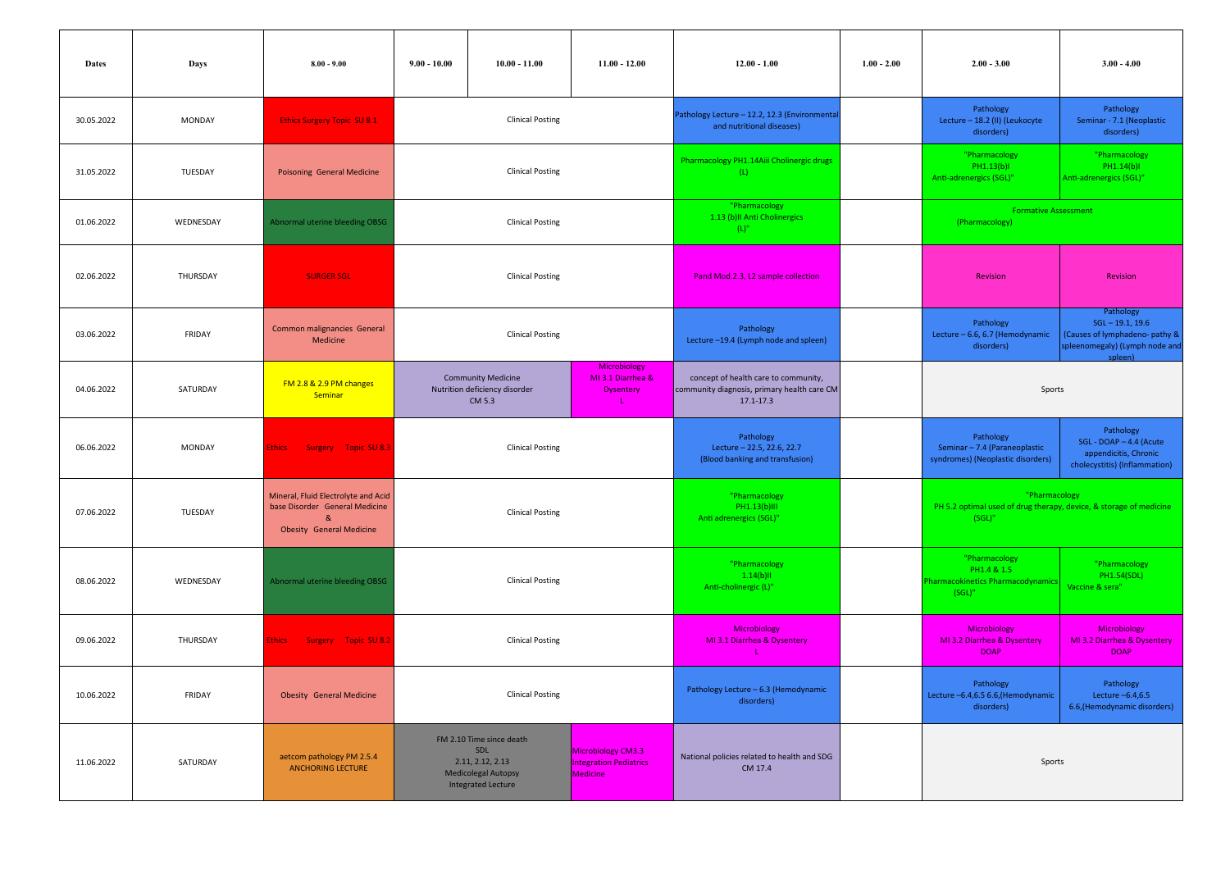| Dates      | Days          | $8.00 - 9.00$                                                                                                 | $9.00 - 10.00$                                                                                                                                                                    | $10.00 - 11.00$                                                      | $11.00 - 12.00$                                             | $12.00 - 1.00$                                                                                       | $1.00 - 2.00$ | $2.00 - 3.00$                                                                                    | $3.00 - 4.00$                                                                                                 |  |
|------------|---------------|---------------------------------------------------------------------------------------------------------------|-----------------------------------------------------------------------------------------------------------------------------------------------------------------------------------|----------------------------------------------------------------------|-------------------------------------------------------------|------------------------------------------------------------------------------------------------------|---------------|--------------------------------------------------------------------------------------------------|---------------------------------------------------------------------------------------------------------------|--|
| 30.05.2022 | MONDAY        | <b>Ethics Surgery Topic SU 8.1</b>                                                                            |                                                                                                                                                                                   | <b>Clinical Posting</b>                                              |                                                             | Pathology Lecture - 12.2, 12.3 (Environmenta<br>and nutritional diseases)                            |               | Pathology<br>Lecture - 18.2 (II) (Leukocyte<br>disorders)                                        | Pathology<br>Seminar - 7.1 (Neoplastic<br>disorders)                                                          |  |
| 31.05.2022 | TUESDAY       | <b>Poisoning General Medicine</b>                                                                             |                                                                                                                                                                                   | <b>Clinical Posting</b>                                              |                                                             | Pharmacology PH1.14Aiii Cholinergic drugs<br>(L)                                                     |               | "Pharmacology<br>PH1.13(b)I<br>Anti-adrenergics (SGL)"                                           | "Pharmacology<br>PH1.14(b)I<br>Anti-adrenergics (SGL)"                                                        |  |
| 01.06.2022 | WEDNESDAY     | Abnormal uterine bleeding OBSG                                                                                |                                                                                                                                                                                   | <b>Clinical Posting</b>                                              |                                                             | "Pharmacology<br>1.13 (b)II Anti Cholinergics<br>$(L)^n$                                             |               | <b>Formative Assessment</b><br>(Pharmacology)                                                    |                                                                                                               |  |
| 02.06.2022 | THURSDAY      | <b>SURGER SGL</b>                                                                                             |                                                                                                                                                                                   | <b>Clinical Posting</b>                                              |                                                             | Pand Mod.2.3, L2 sample collection                                                                   |               | Revision                                                                                         | Revision                                                                                                      |  |
| 03.06.2022 | FRIDAY        | Common malignancies General<br>Medicine                                                                       |                                                                                                                                                                                   | <b>Clinical Posting</b>                                              |                                                             | Pathology<br>Lecture -19.4 (Lymph node and spleen)                                                   |               | Pathology<br>Lecture - 6.6, 6.7 (Hemodynamic<br>disorders)                                       | Pathology<br>$SGL - 19.1, 19.6$<br>(Causes of lymphadeno-pathy &<br>spleenomegaly) (Lymph node and<br>spleen) |  |
| 04.06.2022 | SATURDAY      | FM 2.8 & 2.9 PM changes<br>Seminar                                                                            |                                                                                                                                                                                   | <b>Community Medicine</b><br>Nutrition deficiency disorder<br>CM 5.3 | Microbiology<br>MI 3.1 Diarrhea &<br><b>Dysentery</b><br>л. | concept of health care to community,<br>community diagnosis, primary health care CM<br>$17.1 - 17.3$ |               | Sports                                                                                           |                                                                                                               |  |
| 06.06.2022 | <b>MONDAY</b> | <b>Ethics</b><br>Surgery Topic SU 8.3                                                                         |                                                                                                                                                                                   | <b>Clinical Posting</b>                                              |                                                             | Pathology<br>Lecture - 22.5, 22.6, 22.7<br>(Blood banking and transfusion)                           |               | Pathology<br>Seminar - 7.4 (Paraneoplastic<br>syndromes) (Neoplastic disorders)                  | Pathology<br>SGL - DOAP - 4.4 (Acute<br>appendicitis, Chronic<br>cholecystitis) (Inflammation)                |  |
| 07.06.2022 | TUESDAY       | Mineral, Fluid Electrolyte and Acid<br>base Disorder General Medicine<br>&<br><b>Obesity General Medicine</b> |                                                                                                                                                                                   | <b>Clinical Posting</b>                                              |                                                             | "Pharmacology<br>PH1.13(b)III<br>Anti adrenergics (SGL)"                                             |               | "Pharmacology<br>PH 5.2 optimal used of drug therapy, device, & storage of medicine<br>$(SGL)^n$ |                                                                                                               |  |
| 08.06.2022 | WEDNESDAY     | Abnormal uterine bleeding OBSG                                                                                |                                                                                                                                                                                   | <b>Clinical Posting</b>                                              |                                                             | "Pharmacology<br>$1.14(b)$ II<br>Anti-cholinergic (L)"                                               |               | "Pharmacology<br>PH1.4 & 1.5<br>Pharmacokinetics Pharmacodynamic<br>$(SGL)^n$                    | "Pharmacology<br>PH1.54(SDL)<br>Vaccine & sera"                                                               |  |
| 09.06.2022 | THURSDAY      | Ethics<br>Surgery Topic SU 8.2                                                                                |                                                                                                                                                                                   | <b>Clinical Posting</b>                                              |                                                             | Microbiology<br>MI 3.1 Diarrhea & Dysentery<br>T.                                                    |               | Microbiology<br>MI 3.2 Diarrhea & Dysentery<br><b>DOAP</b>                                       | Microbiology<br>MI 3.2 Diarrhea & Dysentery<br><b>DOAP</b>                                                    |  |
| 10.06.2022 | FRIDAY        | <b>Obesity General Medicine</b>                                                                               |                                                                                                                                                                                   | <b>Clinical Posting</b>                                              |                                                             | Pathology Lecture - 6.3 (Hemodynamic<br>disorders)                                                   |               | Pathology<br>Lecture -6.4,6.5 6.6, (Hemodynamic<br>disorders)                                    | Pathology<br>Lecture $-6.4,6.5$<br>6.6, (Hemodynamic disorders)                                               |  |
| 11.06.2022 | SATURDAY      | aetcom pathology PM 2.5.4<br><b>ANCHORING LECTURE</b>                                                         | FM 2.10 Time since death<br>SDL<br>Microbiology CM3.3<br>2.11, 2.12, 2.13<br><b>Integration Pediatrics</b><br><b>Medicolegal Autopsy</b><br>Medicine<br><b>Integrated Lecture</b> |                                                                      |                                                             | National policies related to health and SDG<br>CM 17.4                                               |               | Sports                                                                                           |                                                                                                               |  |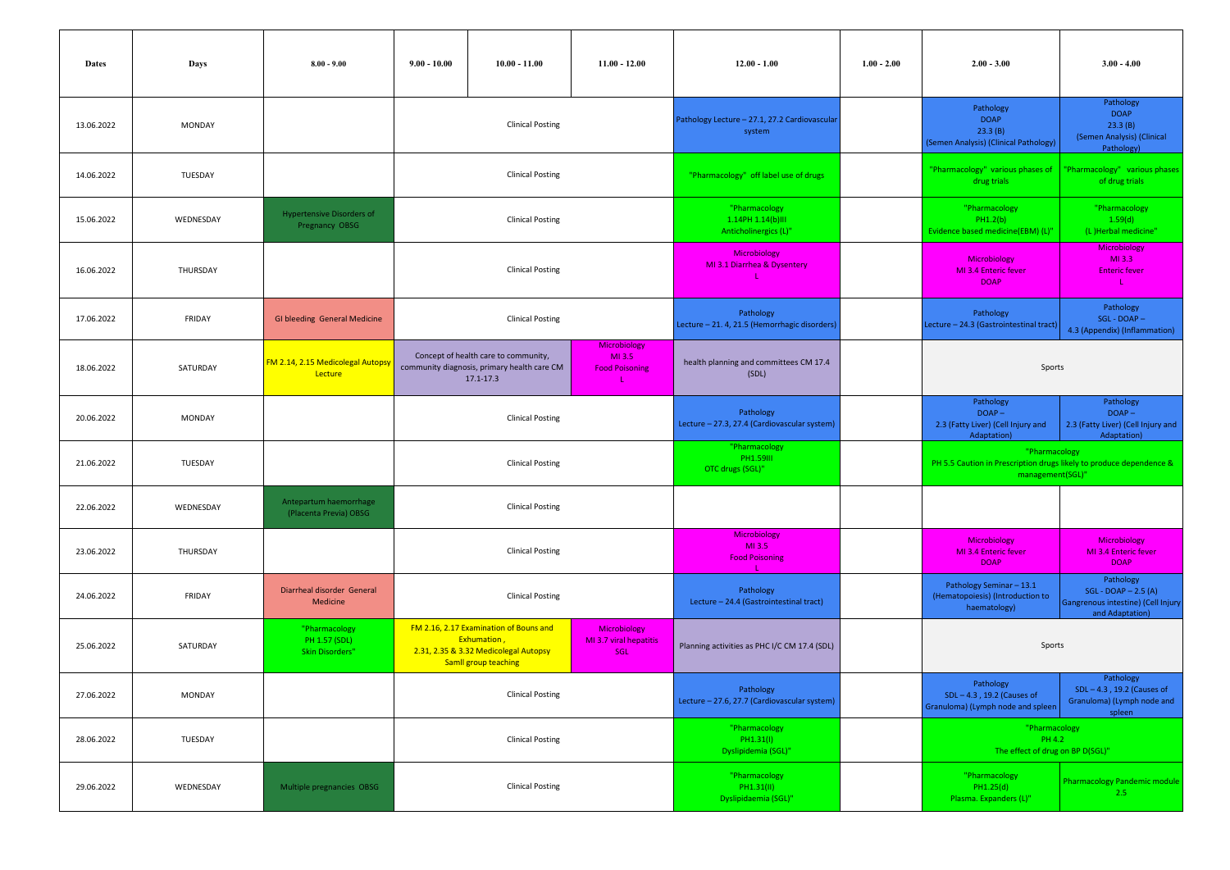| <b>Dates</b> | Days      | $8.00 - 9.00$                                            | $9.00 - 10.00$          | $10.00 - 11.00$                                                                                                        | $11.00 - 12.00$                                              | $12.00 - 1.00$                                              | $1.00 - 2.00$ | $2.00 - 3.00$                                                                                            | $3.00 - 4.00$                                                                                |
|--------------|-----------|----------------------------------------------------------|-------------------------|------------------------------------------------------------------------------------------------------------------------|--------------------------------------------------------------|-------------------------------------------------------------|---------------|----------------------------------------------------------------------------------------------------------|----------------------------------------------------------------------------------------------|
| 13.06.2022   | MONDAY    |                                                          |                         | <b>Clinical Posting</b>                                                                                                |                                                              | Pathology Lecture - 27.1, 27.2 Cardiovascular<br>system     |               | Pathology<br><b>DOAP</b><br>23.3(B)<br>(Semen Analysis) (Clinical Pathology)                             | Pathology<br><b>DOAP</b><br>23.3(B)<br>(Semen Analysis) (Clinical<br>Pathology)              |
| 14.06.2022   | TUESDAY   |                                                          |                         | <b>Clinical Posting</b>                                                                                                |                                                              | "Pharmacology" off label use of drugs                       |               | "Pharmacology" various phases of<br>drug trials                                                          | "Pharmacology" various phases<br>of drug trials                                              |
| 15.06.2022   | WEDNESDAY | <b>Hypertensive Disorders of</b><br>Pregnancy OBSG       |                         | <b>Clinical Posting</b>                                                                                                |                                                              | "Pharmacology<br>1.14PH 1.14(b)III<br>Anticholinergics (L)" |               | "Pharmacology<br>PH1.2(b)<br>Evidence based medicine(EBM) (L)'                                           | "Pharmacology<br>1.59(d)<br>(L) Herbal medicine"                                             |
| 16.06.2022   | THURSDAY  |                                                          |                         | <b>Clinical Posting</b>                                                                                                |                                                              | Microbiology<br>MI 3.1 Diarrhea & Dysentery<br>ъ.           |               | Microbiology<br>MI 3.4 Enteric fever<br><b>DOAP</b>                                                      | Microbiology<br>MI 3.3<br><b>Enteric fever</b><br>ъ.                                         |
| 17.06.2022   | FRIDAY    | <b>GI bleeding General Medicine</b>                      |                         | <b>Clinical Posting</b>                                                                                                |                                                              | Pathology<br>Lecture - 21. 4, 21.5 (Hemorrhagic disorders)  |               | Pathology<br>Lecture - 24.3 (Gastrointestinal tract)                                                     | Pathology<br>SGL - DOAP -<br>4.3 (Appendix) (Inflammation)                                   |
| 18.06.2022   | SATURDAY  | FM 2.14, 2.15 Medicolegal Autopsy<br>Lecture             |                         | Concept of health care to community,<br>community diagnosis, primary health care CM<br>$17.1 - 17.3$                   | <b>Microbiology</b><br>MI 3.5<br><b>Food Poisoning</b><br>L. | health planning and committees CM 17.4<br>(SDL)             |               | Sports                                                                                                   |                                                                                              |
| 20.06.2022   | MONDAY    |                                                          |                         | <b>Clinical Posting</b>                                                                                                |                                                              | Pathology<br>Lecture - 27.3, 27.4 (Cardiovascular system)   |               | Pathology<br>$DOAP -$<br>2.3 (Fatty Liver) (Cell Injury and<br>Adaptation)                               | Pathology<br>$DOAP -$<br>2.3 (Fatty Liver) (Cell Injury and<br>Adaptation)                   |
| 21.06.2022   | TUESDAY   |                                                          |                         | <b>Clinical Posting</b>                                                                                                |                                                              | "Pharmacology<br>PH1.59III<br>OTC drugs (SGL)"              |               | "Pharmacology<br>PH 5.5 Caution in Prescription drugs likely to produce dependence &<br>management(SGL)" |                                                                                              |
| 22.06.2022   | WEDNESDAY | Antepartum haemorrhage<br>(Placenta Previa) OBSG         |                         | <b>Clinical Posting</b>                                                                                                |                                                              |                                                             |               |                                                                                                          |                                                                                              |
| 23.06.2022   | THURSDAY  |                                                          |                         | <b>Clinical Posting</b>                                                                                                |                                                              | Microbiology<br>MI 3.5<br><b>Food Poisoning</b>             |               | Microbiology<br>MI 3.4 Enteric fever<br><b>DOAP</b>                                                      | Microbiology<br>MI 3.4 Enteric fever<br><b>DOAP</b>                                          |
| 24.06.2022   | FRIDAY    | Diarrheal disorder General<br>Medicine                   |                         | <b>Clinical Posting</b>                                                                                                |                                                              | Pathology<br>Lecture - 24.4 (Gastrointestinal tract)        |               | Pathology Seminar-13.1<br>(Hematopoiesis) (Introduction to<br>haematology)                               | Pathology<br>$SGL - DOAP - 2.5 (A)$<br>Gangrenous intestine) (Cell Injury<br>and Adaptation) |
| 25.06.2022   | SATURDAY  | "Pharmacology<br>PH 1.57 (SDL)<br><b>Skin Disorders"</b> |                         | FM 2.16, 2.17 Examination of Bouns and<br>Exhumation,<br>2.31, 2.35 & 3.32 Medicolegal Autopsy<br>Samll group teaching | Microbiology<br>MI 3.7 viral hepatitis<br>SGL                | Planning activities as PHC I/C CM 17.4 (SDL)                |               | Sports                                                                                                   |                                                                                              |
| 27.06.2022   | MONDAY    |                                                          |                         | <b>Clinical Posting</b>                                                                                                |                                                              | Pathology<br>Lecture - 27.6, 27.7 (Cardiovascular system)   |               | Pathology<br>SDL-4.3, 19.2 (Causes of<br>Granuloma) (Lymph node and spleen                               | Pathology<br>SDL-4.3, 19.2 (Causes of<br>Granuloma) (Lymph node and<br>spleen                |
| 28.06.2022   | TUESDAY   |                                                          | <b>Clinical Posting</b> |                                                                                                                        |                                                              | "Pharmacology<br>PH1.31(I)<br>Dyslipidemia (SGL)"           |               | "Pharmacology<br>PH 4.2<br>The effect of drug on BP D(SGL)"                                              |                                                                                              |
| 29.06.2022   | WEDNESDAY | Multiple pregnancies OBSG                                |                         | <b>Clinical Posting</b>                                                                                                |                                                              | "Pharmacology<br>PH1.31(II)<br>Dyslipidaemia (SGL)"         |               | "Pharmacology<br>PH1.25(d)<br>Plasma. Expanders (L)"                                                     | Pharmacology Pandemic module<br>2.5                                                          |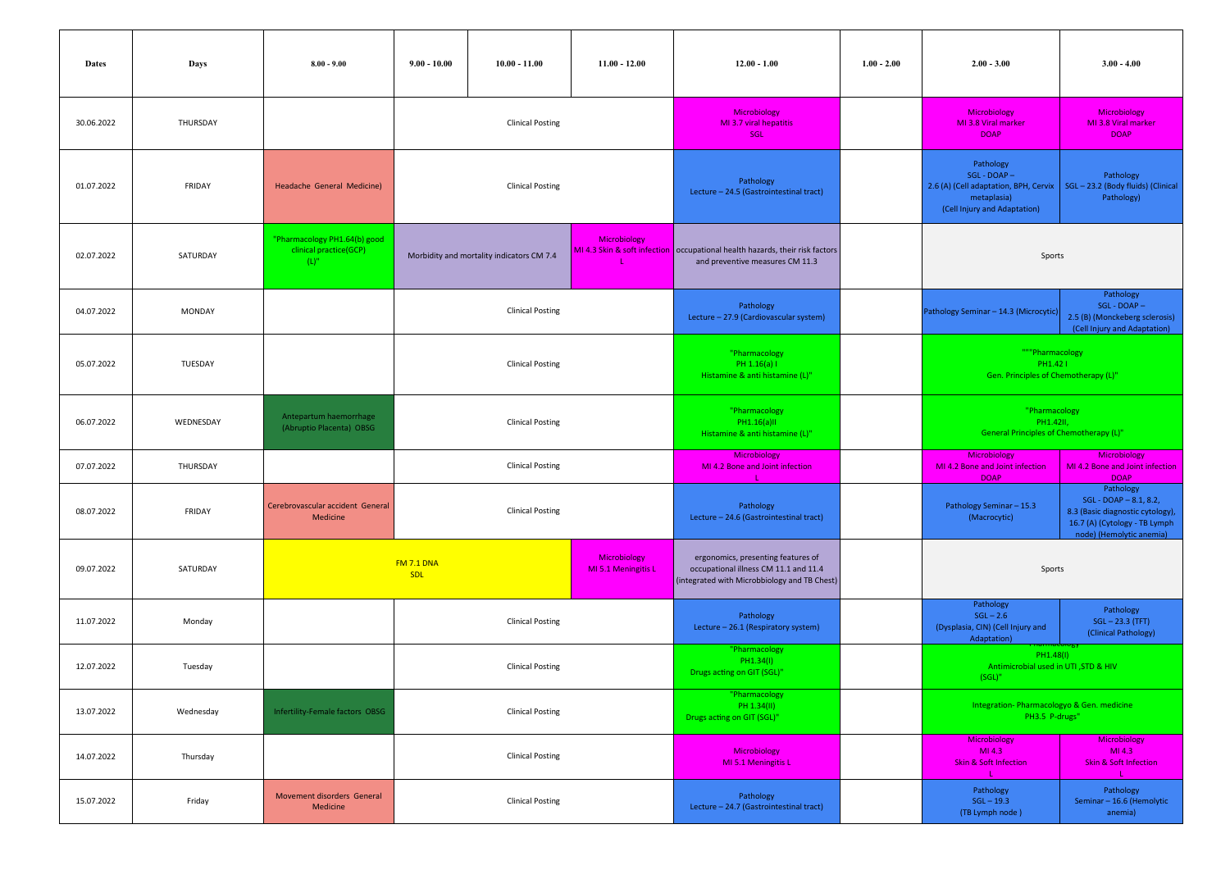| <b>Dates</b> | Days      | $8.00 - 9.00$                                                     | $9.00 - 10.00$                  | $10.00 - 11.00$                           | $11.00 - 12.00$                     | $12.00 - 1.00$                                                                                                              | $1.00 - 2.00$ | $2.00 - 3.00$                                                                                                       | $3.00 - 4.00$                                                                                                                        |
|--------------|-----------|-------------------------------------------------------------------|---------------------------------|-------------------------------------------|-------------------------------------|-----------------------------------------------------------------------------------------------------------------------------|---------------|---------------------------------------------------------------------------------------------------------------------|--------------------------------------------------------------------------------------------------------------------------------------|
| 30.06.2022   | THURSDAY  |                                                                   |                                 | <b>Clinical Posting</b>                   |                                     | <b>Microbiology</b><br>MI 3.7 viral hepatitis<br><b>SGL</b>                                                                 |               | Microbiology<br>MI 3.8 Viral marker<br><b>DOAP</b>                                                                  | Microbiology<br>MI 3.8 Viral marker<br><b>DOAP</b>                                                                                   |
| 01.07.2022   | FRIDAY    | Headache General Medicine)                                        |                                 | <b>Clinical Posting</b>                   |                                     | Pathology<br>Lecture - 24.5 (Gastrointestinal tract)                                                                        |               | Pathology<br>$SGL - DOAP -$<br>2.6 (A) (Cell adaptation, BPH, Cervix<br>metaplasia)<br>(Cell Injury and Adaptation) | Pathology<br>SGL-23.2 (Body fluids) (Clinical<br>Pathology)                                                                          |
| 02.07.2022   | SATURDAY  | "Pharmacology PH1.64(b) good<br>clinical practice(GCP)<br>$(L)^n$ |                                 | Morbidity and mortality indicators CM 7.4 | Microbiology                        | MI 4.3 Skin & soft infection   occupational health hazards, their risk factors<br>and preventive measures CM 11.3           |               | Sports                                                                                                              |                                                                                                                                      |
| 04.07.2022   | MONDAY    |                                                                   |                                 | <b>Clinical Posting</b>                   |                                     | Pathology<br>Lecture - 27.9 (Cardiovascular system)                                                                         |               | Pathology Seminar - 14.3 (Microcytic)                                                                               | Pathology<br>$SGL - DOAP -$<br>2.5 (B) (Monckeberg sclerosis)<br>(Cell Injury and Adaptation)                                        |
| 05.07.2022   | TUESDAY   |                                                                   |                                 | <b>Clinical Posting</b>                   |                                     | "Pharmacology<br>PH 1.16(a) I<br>Histamine & anti histamine (L)"                                                            |               | """Pharmacology<br>PH1.421<br>Gen. Principles of Chemotherapy (L)"                                                  |                                                                                                                                      |
| 06.07.2022   | WEDNESDAY | Antepartum haemorrhage<br>(Abruptio Placenta) OBSG                |                                 | <b>Clinical Posting</b>                   |                                     | "Pharmacology<br>PH1.16(a)II<br>Histamine & anti histamine (L)"                                                             |               | "Pharmacology<br>PH1.42II,<br>General Principles of Chemotherapy (L)"                                               |                                                                                                                                      |
| 07.07.2022   | THURSDAY  |                                                                   |                                 | <b>Clinical Posting</b>                   |                                     | <b>Microbiology</b><br>MI 4.2 Bone and Joint infection                                                                      |               | Microbiology<br>MI 4.2 Bone and Joint infection<br><b>DOAP</b>                                                      | Microbiology<br>MI 4.2 Bone and Joint infection<br><b>DOAP</b>                                                                       |
| 08.07.2022   | FRIDAY    | Cerebrovascular accident General<br>Medicine                      |                                 | <b>Clinical Posting</b>                   |                                     | Pathology<br>Lecture - 24.6 (Gastrointestinal tract)                                                                        |               | Pathology Seminar - 15.3<br>(Macrocytic)                                                                            | Pathology<br>SGL - DOAP - 8.1, 8.2,<br>8.3 (Basic diagnostic cytology),<br>16.7 (A) (Cytology - TB Lymph<br>node) (Hemolytic anemia) |
| 09.07.2022   | SATURDAY  |                                                                   | <b>FM 7.1 DNA</b><br><b>SDL</b> |                                           | Microbiology<br>MI 5.1 Meningitis L | ergonomics, presenting features of<br>occupational illness CM 11.1 and 11.4<br>(integrated with Microbbiology and TB Chest) |               | Sports                                                                                                              |                                                                                                                                      |
| 11.07.2022   | Monday    |                                                                   |                                 | <b>Clinical Posting</b>                   |                                     | Pathology<br>Lecture - 26.1 (Respiratory system)                                                                            |               | Pathology<br>$SGL - 2.6$<br>(Dysplasia, CIN) (Cell Injury and<br>Adaptation)                                        | Pathology<br>$SGL - 23.3 (TFT)$<br>(Clinical Pathology)                                                                              |
| 12.07.2022   | Tuesday   |                                                                   |                                 | <b>Clinical Posting</b>                   |                                     | "Pharmacology<br>PH1.34(I)<br>Drugs acting on GIT (SGL)"                                                                    |               | PH1.48(I)<br>Antimicrobial used in UTI, STD & HIV<br>$(SGL)^n$                                                      |                                                                                                                                      |
| 13.07.2022   | Wednesday | Infertility-Female factors OBSG                                   |                                 | <b>Clinical Posting</b>                   |                                     | "Pharmacology<br>PH 1.34(II)<br>Drugs acting on GIT (SGL)"                                                                  |               | Integration- Pharmacologyo & Gen. medicine<br>PH3.5 P-drugs"                                                        |                                                                                                                                      |
| 14.07.2022   | Thursday  |                                                                   |                                 | <b>Clinical Posting</b>                   |                                     | Microbiology<br>MI 5.1 Meningitis L                                                                                         |               | Microbiology<br>MI 4.3<br><b>Skin &amp; Soft Infection</b>                                                          | Microbiology<br>MI 4.3<br><b>Skin &amp; Soft Infection</b>                                                                           |
| 15.07.2022   | Friday    | Movement disorders General<br>Medicine                            |                                 | <b>Clinical Posting</b>                   |                                     | Pathology<br>Lecture - 24.7 (Gastrointestinal tract)                                                                        |               | Pathology<br>$SGL - 19.3$<br>(TB Lymph node)                                                                        | Pathology<br>Seminar - 16.6 (Hemolytic<br>anemia)                                                                                    |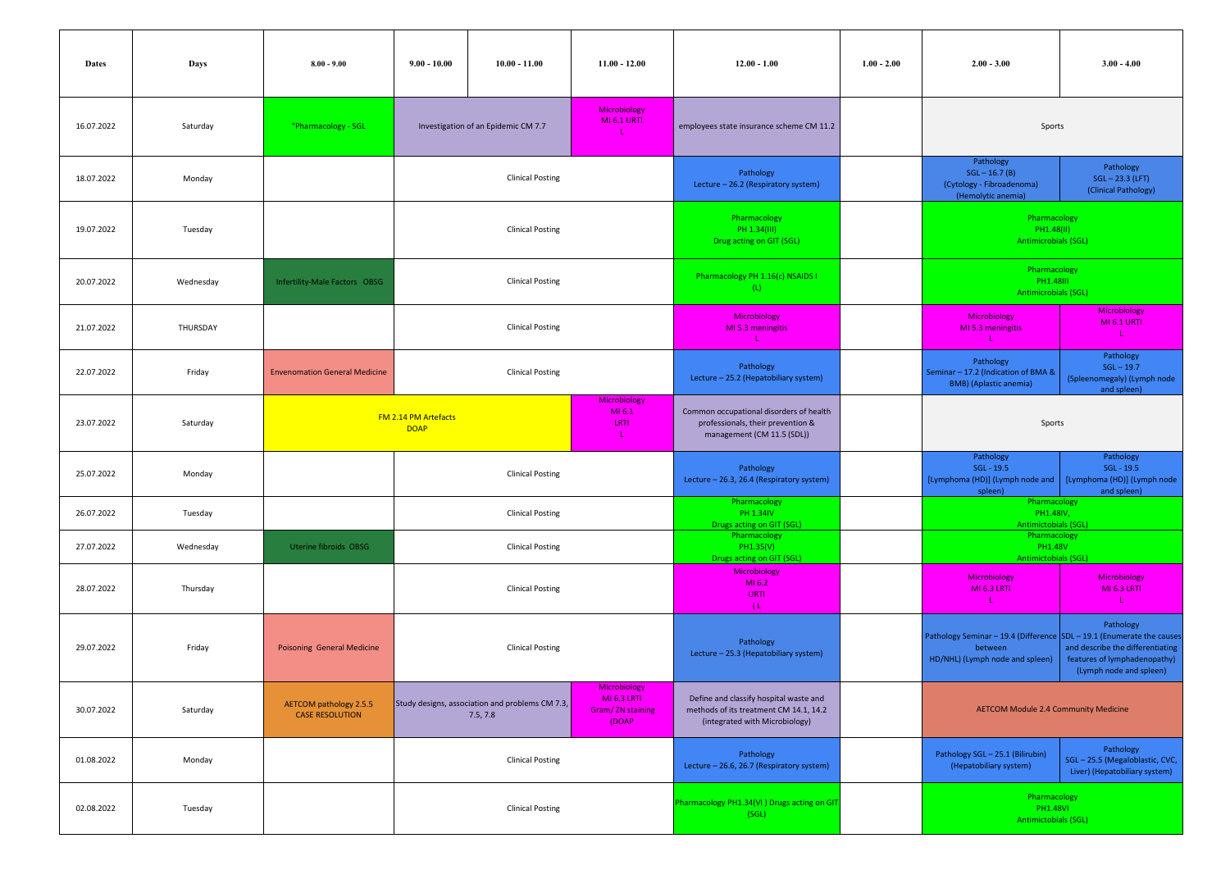| <b>Dates</b> | Days      | $8.00 - 9.00$                                           | $9.00 - 10.00$                      | $10.00 - 11.00$                                             | $11.00 - 12.00$                                                  | $12.00 - 1.00$                                                                                                     | $1.00 - 2.00$ | $2.00 - 3.00$                                                                                                          | $3.00 - 4.00$                                                                                            |
|--------------|-----------|---------------------------------------------------------|-------------------------------------|-------------------------------------------------------------|------------------------------------------------------------------|--------------------------------------------------------------------------------------------------------------------|---------------|------------------------------------------------------------------------------------------------------------------------|----------------------------------------------------------------------------------------------------------|
| 16.07.2022   | Saturday  | "Pharmacology - SGL                                     |                                     | Investigation of an Epidemic CM 7.7                         | Microbiology<br><b>MI 6.1 URTI</b><br>L                          | employees state insurance scheme CM 11.2                                                                           |               | Sports                                                                                                                 |                                                                                                          |
| 18.07.2022   | Monday    |                                                         |                                     | <b>Clinical Posting</b>                                     |                                                                  | Pathology<br>Lecture - 26.2 (Respiratory system)                                                                   |               | Pathology<br>$SGL - 16.7(B)$<br>(Cytology - Fibroadenoma)<br>(Hemolytic anemia)                                        | Pathology<br>$SGL - 23.3 (LFT)$<br>(Clinical Pathology)                                                  |
| 19.07.2022   | Tuesday   |                                                         |                                     | <b>Clinical Posting</b>                                     |                                                                  | Pharmacology<br>PH 1.34(III)<br>Drug acting on GIT (SGL)                                                           |               | Pharmacology<br>PH1.48(II)<br>Antimicrobials (SGL)                                                                     |                                                                                                          |
| 20.07.2022   | Wednesday | Infertility-Male Factors OBSG                           |                                     | <b>Clinical Posting</b>                                     |                                                                  | Pharmacology PH 1.16(c) NSAIDS I<br>(L)                                                                            |               | Pharmacology<br>PH1.48III<br>Antimicrobials (SGL)                                                                      |                                                                                                          |
| 21.07.2022   | THURSDAY  |                                                         |                                     | <b>Clinical Posting</b>                                     |                                                                  | Microbiology<br>MI 5.3 meningitis<br>т.                                                                            |               | Microbiology<br>MI 5.3 meningitis                                                                                      | Microbiology<br><b>MI 6.1 URTI</b><br>L                                                                  |
| 22.07.2022   | Friday    | <b>Envenomation General Medicine</b>                    |                                     | <b>Clinical Posting</b>                                     |                                                                  | Pathology<br>Lecture - 25.2 (Hepatobiliary system)                                                                 |               | Pathology<br>Seminar - 17.2 (Indication of BMA &<br><b>BMB)</b> (Aplastic anemia)                                      | Pathology<br>$SGL - 19.7$<br>(Spleenomegaly) (Lymph node<br>and spleen)                                  |
| 23.07.2022   | Saturday  |                                                         | FM 2.14 PM Artefacts<br><b>DOAP</b> |                                                             | Microbiology<br>MI 6.1<br>LRTI<br>$\mathbf{L}$                   | Common occupational disorders of health<br>professionals, their prevention &<br>management (CM 11.5 (SDL))         |               | Sports                                                                                                                 |                                                                                                          |
| 25.07.2022   | Monday    |                                                         |                                     | <b>Clinical Posting</b>                                     |                                                                  | Pathology<br>Lecture - 26.3, 26.4 (Respiratory system)                                                             |               | Pathology<br>$SGL - 19.5$<br>[Lymphoma (HD)] (Lymph node and<br>spleen)                                                | Pathology<br>$SGL - 19.5$<br>[Lymphoma (HD)] (Lymph node<br>and spleen)                                  |
| 26.07.2022   | Tuesday   |                                                         |                                     | <b>Clinical Posting</b>                                     |                                                                  | Pharmacology<br>PH 1.34IV<br>Drugs acting on GIT (SGL)                                                             |               | Pharmacology<br>PH1.48IV,<br><b>Antimictobials (SGL)</b>                                                               |                                                                                                          |
| 27.07.2022   | Wednesday | Uterine fibroids OBSG                                   |                                     | <b>Clinical Posting</b>                                     |                                                                  | Pharmacology<br>PH1.35(V)<br>Drugs acting on GIT (SGL)                                                             |               | Pharmacology<br><b>PH1.48V</b><br>Antimictobials (SGL)                                                                 |                                                                                                          |
| 28.07.2022   | Thursday  |                                                         |                                     | <b>Clinical Posting</b>                                     |                                                                  | Microbiology<br>MI 6.2<br><b>URTI</b><br>(L)                                                                       |               | Microbiology<br><b>MI 6.3 LRTI</b><br>-1.                                                                              | Microbiology<br><b>MI 6.3 LRTI</b><br>T.                                                                 |
| 29.07.2022   | Friday    | Poisoning General Medicine                              |                                     | <b>Clinical Posting</b>                                     |                                                                  | Pathology<br>Lecture - 25.3 (Hepatobiliary system)                                                                 |               | Pathology Seminar - 19.4 (Difference $ SDL - 19.1$ (Enumerate the causes<br>between<br>HD/NHL) (Lymph node and spleen) | Pathology<br>and describe the differentiating<br>features of lymphadenopathy)<br>(Lymph node and spleen) |
| 30.07.2022   | Saturday  | <b>AETCOM pathology 2.5.5</b><br><b>CASE RESOLUTION</b> |                                     | Study designs, association and problems CM 7.3,<br>7.5, 7.8 | Microbiology<br><b>MI 6.3 LRTI</b><br>Gram/ ZN staining<br>(DOAP | Define and classify hospital waste and<br>methods of its treatment CM 14.1, 14.2<br>(integrated with Microbiology) |               | <b>AETCOM Module 2.4 Community Medicine</b>                                                                            |                                                                                                          |
| 01.08.2022   | Monday    |                                                         |                                     | <b>Clinical Posting</b>                                     |                                                                  | Pathology<br>Lecture - 26.6, 26.7 (Respiratory system)                                                             |               | Pathology SGL - 25.1 (Bilirubin)<br>(Hepatobiliary system)                                                             | Pathology<br>SGL-25.5 (Megaloblastic, CVC,<br>Liver) (Hepatobiliary system)                              |
| 02.08.2022   | Tuesday   |                                                         |                                     | <b>Clinical Posting</b>                                     |                                                                  | Pharmacology PH1.34(VI) Drugs acting on GIT<br>(SGL)                                                               |               | Pharmacology<br><b>PH1.48VI</b><br>Antimictobials (SGL)                                                                |                                                                                                          |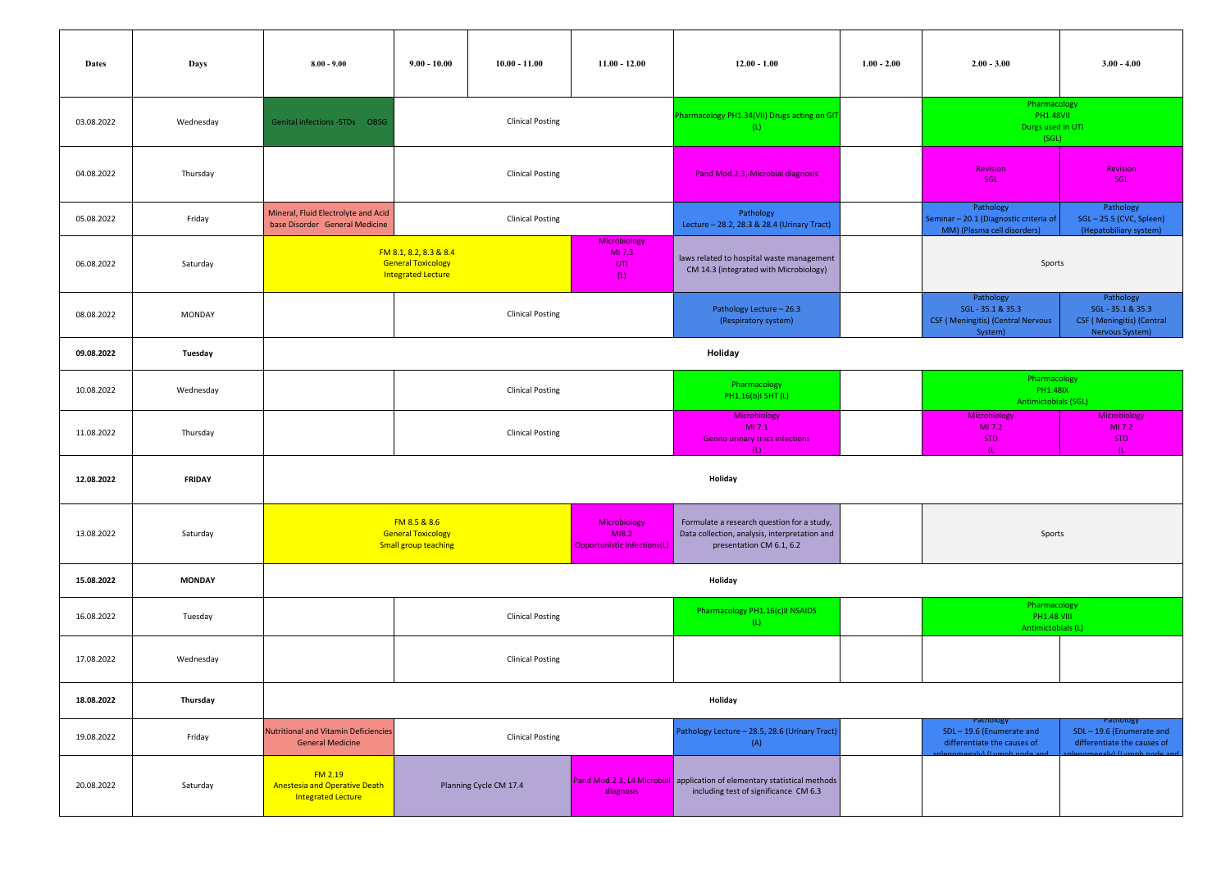| <b>Dates</b> | Days          | $8.00 - 9.00$                                                                | $9.00 - 10.00$                                                                   | $10.00 - 11.00$         | $11.00 - 12.00$                                             | $12.00 - 1.00$                                                                                                          | $1.00 - 2.00$ | $2.00 - 3.00$                                                                       | $3.00 - 4.00$                                                                         |
|--------------|---------------|------------------------------------------------------------------------------|----------------------------------------------------------------------------------|-------------------------|-------------------------------------------------------------|-------------------------------------------------------------------------------------------------------------------------|---------------|-------------------------------------------------------------------------------------|---------------------------------------------------------------------------------------|
| 03.08.2022   | Wednesday     |                                                                              |                                                                                  | <b>Clinical Posting</b> |                                                             | Pharmacology PH1.34(VII) Drugs acting on GIT<br>(L)                                                                     |               | Pharmacology<br><b>PH1.48VII</b><br>Durgs used in UTI<br>(SGL)                      |                                                                                       |
| 04.08.2022   | Thursday      |                                                                              |                                                                                  | <b>Clinical Posting</b> |                                                             | Pand Mod.2.3,-Microbial diagnosis                                                                                       |               | <b>Revision</b><br>SGL                                                              | Revision<br>SGL                                                                       |
| 05.08.2022   | Friday        | Mineral, Fluid Electrolyte and Acid<br>base Disorder General Medicine        |                                                                                  | <b>Clinical Posting</b> |                                                             | Pathology<br>Lecture - 28.2, 28.3 & 28.4 (Urinary Tract)                                                                |               | Pathology<br>Seminar - 20.1 (Diagnostic criteria of<br>MM) (Plasma cell disorders)  | Pathology<br>SGL-25.5 (CVC, Spleen)<br>(Hepatobiliary system)                         |
| 06.08.2022   | Saturday      |                                                                              | FM 8.1, 8.2, 8.3 & 8.4<br><b>General Toxicology</b><br><b>Integrated Lecture</b> |                         | Microbiology<br>MI 7.3<br>UTI<br>(L)                        | laws related to hospital waste management<br>CM 14.3 (integrated with Microbiology)                                     |               | Sports                                                                              |                                                                                       |
| 08.08.2022   | MONDAY        |                                                                              |                                                                                  | <b>Clinical Posting</b> |                                                             | Pathology Lecture - 26.3<br>(Respiratory system)                                                                        |               | Pathology<br>SGL-35.1 & 35.3<br><b>CSF (Meningitis) (Central Nervous</b><br>System) | Pathology<br>SGL - 35.1 & 35.3<br><b>CSF</b> (Meningitis) (Central<br>Nervous System) |
| 09.08.2022   | Tuesday       |                                                                              |                                                                                  |                         |                                                             | Holiday                                                                                                                 |               |                                                                                     |                                                                                       |
| 10.08.2022   | Wednesday     |                                                                              |                                                                                  | <b>Clinical Posting</b> |                                                             | Pharmacology<br>PH1.16(b)I 5HT (L)                                                                                      |               | Pharmacology<br><b>PH1.48IX</b><br>Antimictobials (SGL)                             |                                                                                       |
| 11.08.2022   | Thursday      |                                                                              |                                                                                  | <b>Clinical Posting</b> |                                                             | Microbiology<br>MI 7.1<br><b>Genito urinary tract infections</b><br>(L)                                                 |               | Microbiology<br>MI 7.2<br><b>STD</b>                                                | Microbiology<br>MI 7.2<br><b>STD</b>                                                  |
| 12.08.2022   | <b>FRIDAY</b> |                                                                              |                                                                                  |                         |                                                             | Holiday                                                                                                                 |               |                                                                                     |                                                                                       |
| 13.08.2022   | Saturday      |                                                                              | FM 8.5 & 8.6<br><b>General Toxicology</b><br><b>Small group teaching</b>         |                         | Microbiology<br>MI8.2<br><b>Opportunistic infections(L)</b> | Formulate a research question for a study,<br>Data collection, analysis, interpretation and<br>presentation CM 6.1, 6.2 |               | Sports                                                                              |                                                                                       |
| 15.08.2022   | <b>MONDAY</b> |                                                                              |                                                                                  |                         |                                                             | Holiday                                                                                                                 |               |                                                                                     |                                                                                       |
| 16.08.2022   | Tuesday       |                                                                              |                                                                                  | <b>Clinical Posting</b> |                                                             | Pharmacology PH1.16(c)II NSAIDS<br>(L)                                                                                  |               | Pharmacology<br>PH1.48 VIII<br>Antimictobials (L)                                   |                                                                                       |
| 17.08.2022   | Wednesday     |                                                                              |                                                                                  | <b>Clinical Posting</b> |                                                             |                                                                                                                         |               |                                                                                     |                                                                                       |
| 18.08.2022   | Thursday      |                                                                              |                                                                                  |                         |                                                             | Holiday                                                                                                                 |               |                                                                                     |                                                                                       |
| 19.08.2022   | Friday        | <b>Nutritional and Vitamin Deficiencies</b><br><b>General Medicine</b>       |                                                                                  | <b>Clinical Posting</b> |                                                             | Pathology Lecture - 28.5, 28.6 (Urinary Tract)<br>(A)                                                                   |               | atholog<br>SDL-19.6 (Enumerate and<br>differentiate the causes of                   | athology<br>SDL-19.6 (Enumerate and<br>differentiate the causes of                    |
| 20.08.2022   | Saturday      | FM 2.19<br><b>Anestesia and Operative Death</b><br><b>Integrated Lecture</b> |                                                                                  | Planning Cycle CM 17.4  | diagnosis                                                   | Pand Mod.2.3, L4 Microbial application of elementary statistical methods<br>including test of significance CM 6.3       |               |                                                                                     |                                                                                       |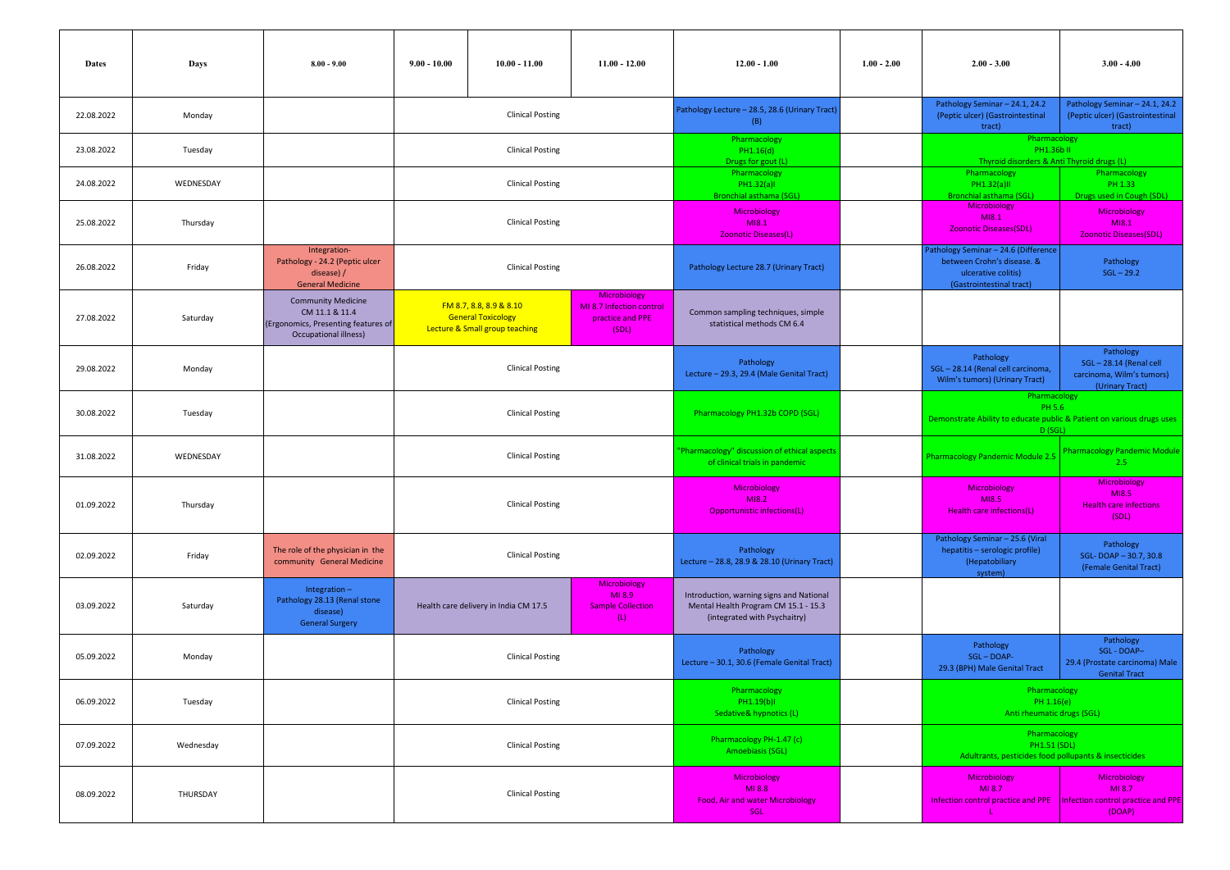| <b>Dates</b> | Days      | $8.00 - 9.00$                                                                                               | $9.00 - 10.00$          | $10.00 - 11.00$                                                                        | $11.00 - 12.00$                                                              | $12.00 - 1.00$                                                                                                   | $1.00 - 2.00$                                                                                                        | $2.00 - 3.00$                                                                                  | $3.00 - 4.00$                                                                      |
|--------------|-----------|-------------------------------------------------------------------------------------------------------------|-------------------------|----------------------------------------------------------------------------------------|------------------------------------------------------------------------------|------------------------------------------------------------------------------------------------------------------|----------------------------------------------------------------------------------------------------------------------|------------------------------------------------------------------------------------------------|------------------------------------------------------------------------------------|
| 22.08.2022   | Monday    |                                                                                                             |                         | <b>Clinical Posting</b>                                                                |                                                                              | Pathology Lecture - 28.5, 28.6 (Urinary Tract)<br>(B)                                                            |                                                                                                                      | Pathology Seminar - 24.1, 24.2<br>(Peptic ulcer) (Gastrointestinal<br>tract)                   | Pathology Seminar - 24.1, 24.2<br>(Peptic ulcer) (Gastrointestinal<br>tract)       |
| 23.08.2022   | Tuesday   |                                                                                                             | <b>Clinical Posting</b> |                                                                                        |                                                                              | Pharmacology<br>PH1.16(d)<br>Drugs for gout (L)                                                                  |                                                                                                                      | Pharmacology<br>PH1.36b II<br>Thyroid disorders & Anti Thyroid drugs (L)                       |                                                                                    |
| 24.08.2022   | WEDNESDAY |                                                                                                             | <b>Clinical Posting</b> |                                                                                        |                                                                              | Pharmacology<br>PH1.32(a)I<br><b>Bronchial asthama (SGL)</b>                                                     |                                                                                                                      | Pharmacology<br>PH1.32(a)II<br><b>Bronchial asthama (SGL)</b>                                  | Pharmacology<br>PH 1.33<br>Drugs used in Cough (SDL)                               |
| 25.08.2022   | Thursday  |                                                                                                             | <b>Clinical Posting</b> |                                                                                        |                                                                              | Microbiology<br>MI8.1<br><b>Zoonotic Diseases(L)</b>                                                             |                                                                                                                      | <b>Microbiology</b><br>M18.1<br><b>Zoonotic Diseases(SDL)</b>                                  | Microbiology<br>M18.1<br><b>Zoonotic Diseases(SDL)</b>                             |
| 26.08.2022   | Friday    | Integration-<br>Pathology - 24.2 (Peptic ulcer<br>disease) /<br><b>General Medicine</b>                     | <b>Clinical Posting</b> |                                                                                        | Pathology Lecture 28.7 (Urinary Tract)                                       |                                                                                                                  | athology Seminar - 24.6 (Difference<br>between Crohn's disease. &<br>ulcerative colitis)<br>(Gastrointestinal tract) | Pathology<br>$SGL - 29.2$                                                                      |                                                                                    |
| 27.08.2022   | Saturday  | <b>Community Medicine</b><br>CM 11.1 & 11.4<br>(Ergonomics, Presenting features of<br>Occupational illness) |                         | FM 8.7, 8.8, 8.9 & 8.10<br><b>General Toxicology</b><br>Lecture & Small group teaching | <b>Microbiology</b><br>MI 8.7 Infection control<br>practice and PPE<br>(SDL) | Common sampling techniques, simple<br>statistical methods CM 6.4                                                 |                                                                                                                      |                                                                                                |                                                                                    |
| 29.08.2022   | Monday    |                                                                                                             |                         | <b>Clinical Posting</b>                                                                |                                                                              | Pathology<br>Lecture - 29.3, 29.4 (Male Genital Tract)                                                           |                                                                                                                      | Pathology<br>SGL-28.14 (Renal cell carcinoma,<br>Wilm's tumors) (Urinary Tract)                | Pathology<br>SGL-28.14 (Renal cell<br>carcinoma, Wilm's tumors)<br>(Urinary Tract) |
| 30.08.2022   | Tuesday   |                                                                                                             | <b>Clinical Posting</b> |                                                                                        | Pharmacology PH1.32b COPD (SGL)                                              |                                                                                                                  | Pharmacology<br>PH 5.6<br>Demonstrate Ability to educate public & Patient on various drugs uses<br>D (SGL)           |                                                                                                |                                                                                    |
| 31.08.2022   | WEDNESDAY |                                                                                                             |                         | <b>Clinical Posting</b>                                                                |                                                                              | "Pharmacology" discussion of ethical aspects<br>of clinical trials in pandemic                                   |                                                                                                                      | <b>Pharmacology Pandemic Module 2.5</b>                                                        | <b>Pharmacology Pandemic Module</b><br>2.5                                         |
| 01.09.2022   | Thursday  |                                                                                                             |                         | <b>Clinical Posting</b>                                                                |                                                                              | Microbiology<br>MI8.2<br><b>Opportunistic infections(L)</b>                                                      |                                                                                                                      | Microbiology<br>MI8.5<br><b>Health care infections(L)</b>                                      | Microbiology<br>MI8.5<br><b>Health care infections</b><br>(SDL)                    |
| 02.09.2022   | Friday    | The role of the physician in the<br>community General Medicine                                              |                         | <b>Clinical Posting</b>                                                                |                                                                              | Pathology<br>Lecture - 28.8, 28.9 & 28.10 (Urinary Tract)                                                        |                                                                                                                      | Pathology Seminar - 25.6 (Viral<br>hepatitis - serologic profile)<br>(Hepatobiliary<br>system) | Pathology<br>SGL-DOAP-30.7, 30.8<br>(Female Genital Tract)                         |
| 03.09.2022   | Saturday  | Integration $-$<br>Pathology 28.13 (Renal stone<br>disease)<br><b>General Surgery</b>                       |                         | Health care delivery in India CM 17.5                                                  | Microbiology<br>MI 8.9<br><b>Sample Collection</b><br>(L)                    | Introduction, warning signs and National<br>Mental Health Program CM 15.1 - 15.3<br>(integrated with Psychaitry) |                                                                                                                      |                                                                                                |                                                                                    |
| 05.09.2022   | Monday    |                                                                                                             |                         | <b>Clinical Posting</b>                                                                |                                                                              | Pathology<br>Lecture - 30.1, 30.6 (Female Genital Tract)                                                         |                                                                                                                      | Pathology<br>SGL-DOAP-<br>29.3 (BPH) Male Genital Tract                                        | Pathology<br>SGL - DOAP-<br>29.4 (Prostate carcinoma) Male<br><b>Genital Tract</b> |
| 06.09.2022   | Tuesday   |                                                                                                             | <b>Clinical Posting</b> |                                                                                        | Pharmacology<br>PH1.19(b)I<br>Sedative& hypnotics (L)                        |                                                                                                                  | Pharmacology<br>PH 1.16(e)<br>Anti rheumatic drugs (SGL)                                                             |                                                                                                |                                                                                    |
| 07.09.2022   | Wednesday |                                                                                                             | <b>Clinical Posting</b> |                                                                                        | Pharmacology PH-1.47 (c)<br>Amoebiasis (SGL)                                 |                                                                                                                  | Pharmacology<br><b>PH1.51 (SDL)</b><br>Adultrants, pesticides food pollupants & insecticides                         |                                                                                                |                                                                                    |
| 08.09.2022   | THURSDAY  |                                                                                                             | <b>Clinical Posting</b> |                                                                                        | Microbiology<br>MI 8.8<br>Food, Air and water Microbiology<br><b>SGL</b>     |                                                                                                                  | <b>Microbiology</b><br>MI 8.7<br>Infection control practice and PPE                                                  | <b>Microbiology</b><br>MI 8.7<br><b>Infection control practice and PPE</b><br>(DOAP)           |                                                                                    |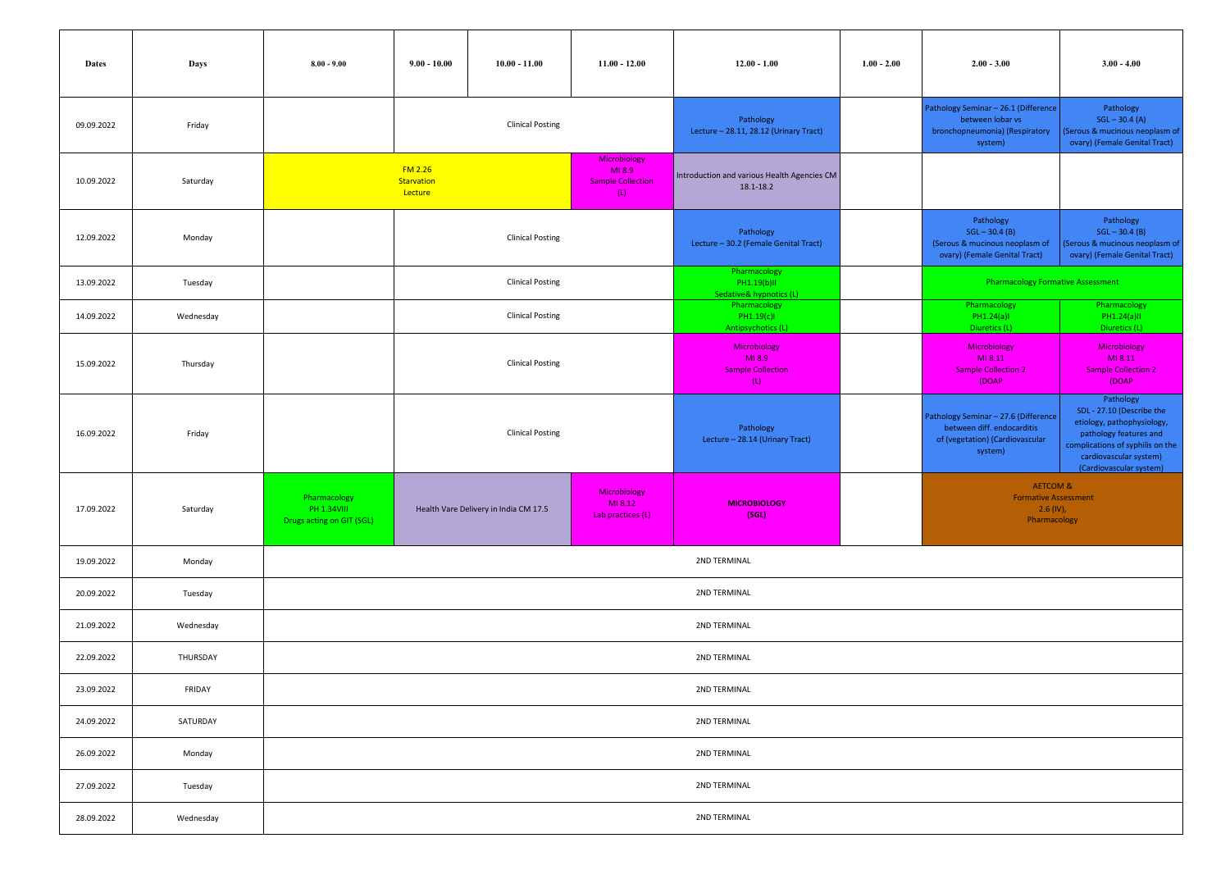| <b>Dates</b> | Days      | $8.00 - 9.00$                                                   | $9.00 - 10.00$                          | $10.00 - 11.00$                       | $11.00 - 12.00$                                           | $12.00 - 1.00$                                            | $1.00 - 2.00$ | $2.00 - 3.00$                                                                                                    | $3.00 - 4.00$                                                                                                                                                                           |  |
|--------------|-----------|-----------------------------------------------------------------|-----------------------------------------|---------------------------------------|-----------------------------------------------------------|-----------------------------------------------------------|---------------|------------------------------------------------------------------------------------------------------------------|-----------------------------------------------------------------------------------------------------------------------------------------------------------------------------------------|--|
| 09.09.2022   | Friday    |                                                                 |                                         | <b>Clinical Posting</b>               |                                                           | Pathology<br>Lecture - 28.11, 28.12 (Urinary Tract)       |               | Pathology Seminar - 26.1 (Difference<br>between lobar vs<br>bronchopneumonia) (Respiratory<br>system)            | Pathology<br>$SGL - 30.4 (A)$<br>(Serous & mucinous neoplasm of<br>ovary) (Female Genital Tract)                                                                                        |  |
| 10.09.2022   | Saturday  |                                                                 | <b>FM 2.26</b><br>Starvation<br>Lecture |                                       | Microbiology<br>MI 8.9<br><b>Sample Collection</b><br>(L) | Introduction and various Health Agencies CM<br>18.1-18.2  |               |                                                                                                                  |                                                                                                                                                                                         |  |
| 12.09.2022   | Monday    |                                                                 |                                         | <b>Clinical Posting</b>               |                                                           | Pathology<br>Lecture - 30.2 (Female Genital Tract)        |               | Pathology<br>$SGL - 30.4(B)$<br>(Serous & mucinous neoplasm of<br>ovary) (Female Genital Tract)                  | Pathology<br>$SGL - 30.4(B)$<br>(Serous & mucinous neoplasm of<br>ovary) (Female Genital Tract)                                                                                         |  |
| 13.09.2022   | Tuesday   |                                                                 |                                         | <b>Clinical Posting</b>               |                                                           | Pharmacology<br>PH1.19(b)II<br>Sedative& hypnotics (L)    |               | <b>Pharmacology Formative Assessment</b>                                                                         |                                                                                                                                                                                         |  |
| 14.09.2022   | Wednesday |                                                                 |                                         | <b>Clinical Posting</b>               |                                                           | Pharmacology<br>PH1.19(c)I<br>Antipsychotics (L)          |               | Pharmacology<br>PH1.24(a)I<br>Diuretics (L)                                                                      | Pharmacology<br>PH1.24(a)II<br>Diuretics (L)                                                                                                                                            |  |
| 15.09.2022   | Thursday  |                                                                 |                                         | <b>Clinical Posting</b>               |                                                           | Microbiology<br>MI 8.9<br><b>Sample Collection</b><br>(L) |               | Microbiology<br>MI 8.11<br><b>Sample Collection 2</b><br>(DOAP                                                   | Microbiology<br>MI 8.11<br><b>Sample Collection 2</b><br>(DOAP                                                                                                                          |  |
| 16.09.2022   | Friday    |                                                                 |                                         | <b>Clinical Posting</b>               |                                                           | Pathology<br>Lecture - 28.14 (Urinary Tract)              |               | Pathology Seminar - 27.6 (Difference<br>between diff. endocarditis<br>of (vegetation) (Cardiovascular<br>system) | Pathology<br>SDL - 27.10 (Describe the<br>etiology, pathophysiology,<br>pathology features and<br>complications of syphilis on the<br>cardiovascular system)<br>(Cardiovascular system) |  |
| 17.09.2022   | Saturday  | Pharmacology<br><b>PH 1.34VIII</b><br>Drugs acting on GIT (SGL) |                                         | Health Vare Delivery in India CM 17.5 | Microbiology<br>MI 8.12<br>Lab practices (L)              | <b>MICROBIOLOGY</b><br>(SGL)                              |               | <b>AETCOM &amp;</b><br><b>Formative Assessment</b><br>$2.6$ (IV),<br>Pharmacology                                |                                                                                                                                                                                         |  |
| 19.09.2022   | Monday    |                                                                 |                                         |                                       |                                                           | 2ND TERMINAL                                              |               |                                                                                                                  |                                                                                                                                                                                         |  |
| 20.09.2022   | Tuesday   |                                                                 |                                         |                                       |                                                           | 2ND TERMINAL                                              |               |                                                                                                                  |                                                                                                                                                                                         |  |
| 21.09.2022   | Wednesday |                                                                 |                                         |                                       |                                                           | 2ND TERMINAL                                              |               |                                                                                                                  |                                                                                                                                                                                         |  |
| 22.09.2022   | THURSDAY  |                                                                 |                                         |                                       |                                                           | 2ND TERMINAL                                              |               |                                                                                                                  |                                                                                                                                                                                         |  |
| 23.09.2022   | FRIDAY    |                                                                 | 2ND TERMINAL                            |                                       |                                                           |                                                           |               |                                                                                                                  |                                                                                                                                                                                         |  |
| 24.09.2022   | SATURDAY  |                                                                 | 2ND TERMINAL                            |                                       |                                                           |                                                           |               |                                                                                                                  |                                                                                                                                                                                         |  |
| 26.09.2022   | Monday    | 2ND TERMINAL                                                    |                                         |                                       |                                                           |                                                           |               |                                                                                                                  |                                                                                                                                                                                         |  |
| 27.09.2022   | Tuesday   |                                                                 |                                         |                                       |                                                           | 2ND TERMINAL                                              |               |                                                                                                                  |                                                                                                                                                                                         |  |
| 28.09.2022   | Wednesday | 2ND TERMINAL                                                    |                                         |                                       |                                                           |                                                           |               |                                                                                                                  |                                                                                                                                                                                         |  |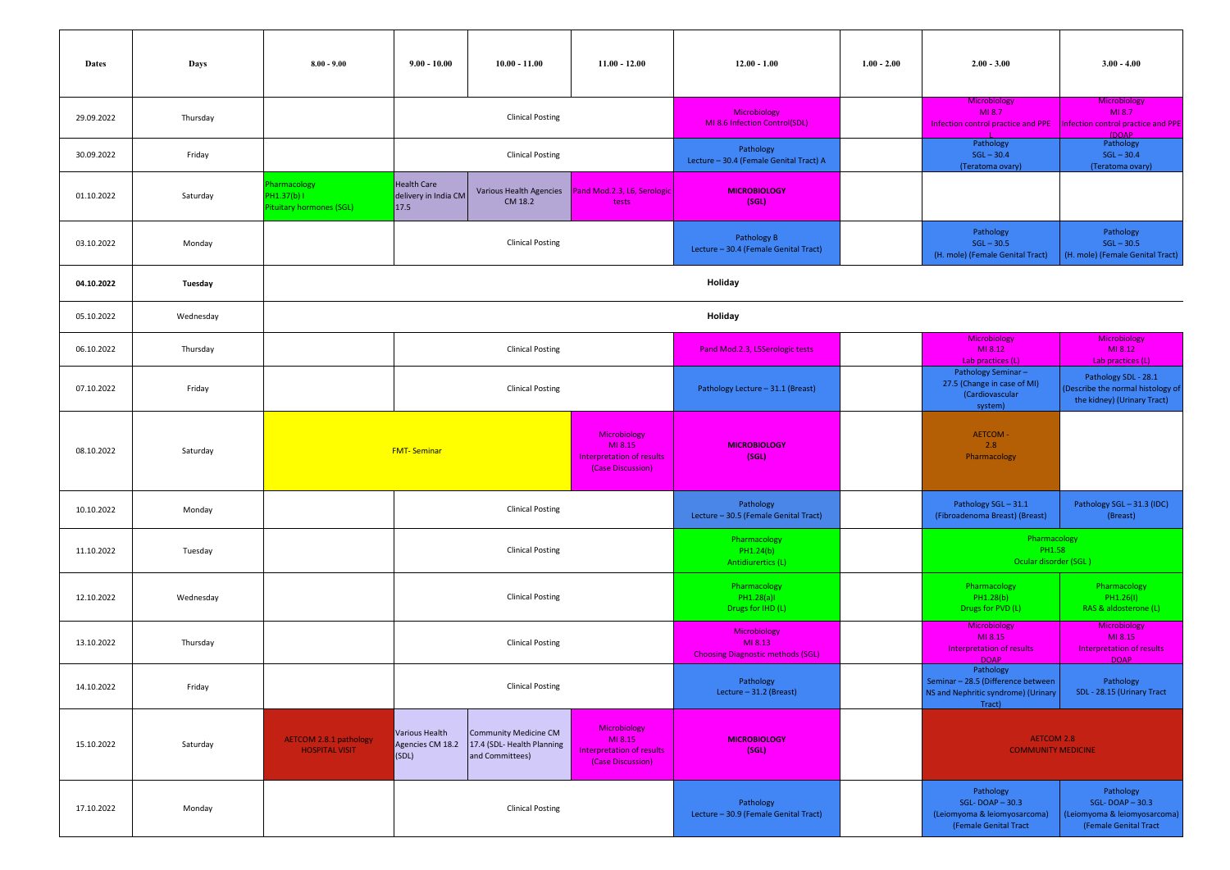| Dates      | Days      | $8.00 - 9.00$                                                  | $9.00 - 10.00$                                     | $10.00 - 11.00$                                                               | $11.00 - 12.00$                                                                  | $12.00 - 1.00$                                                      | $1.00 - 2.00$ | $2.00 - 3.00$                                                                                    | $3.00 - 4.00$                                                                            |
|------------|-----------|----------------------------------------------------------------|----------------------------------------------------|-------------------------------------------------------------------------------|----------------------------------------------------------------------------------|---------------------------------------------------------------------|---------------|--------------------------------------------------------------------------------------------------|------------------------------------------------------------------------------------------|
| 29.09.2022 | Thursday  |                                                                |                                                    | <b>Clinical Posting</b>                                                       |                                                                                  | Microbiology<br>MI 8.6 Infection Control(SDL)                       |               | Microbiology<br>MI 8.7<br>Infection control practice and PPE                                     | Microbiology<br>MI 8.7<br>Infection control practice and PPE<br><b>(DOAP</b>             |
| 30.09.2022 | Friday    |                                                                |                                                    | <b>Clinical Posting</b>                                                       |                                                                                  | Pathology<br>Lecture - 30.4 (Female Genital Tract) A                |               | Pathology<br>$SGL - 30.4$<br>(Teratoma ovary)                                                    | Pathology<br>$SGL - 30.4$<br>(Teratoma ovary)                                            |
| 01.10.2022 | Saturday  | Pharmacology<br>PH1.37(b)  <br><b>Pituitary hormones (SGL)</b> | <b>Health Care</b><br>delivery in India CM<br>17.5 | Various Health Agencies<br>CM 18.2                                            | Pand Mod.2.3, L6, Serologic<br>tests                                             | <b>MICROBIOLOGY</b><br>(SGL)                                        |               |                                                                                                  |                                                                                          |
| 03.10.2022 | Monday    |                                                                |                                                    | <b>Clinical Posting</b>                                                       |                                                                                  | Pathology B<br>Lecture - 30.4 (Female Genital Tract)                |               | Pathology<br>$SGL - 30.5$<br>(H. mole) (Female Genital Tract)                                    | Pathology<br>$SGL - 30.5$<br>(H. mole) (Female Genital Tract)                            |
| 04.10.2022 | Tuesday   |                                                                |                                                    |                                                                               |                                                                                  | Holiday                                                             |               |                                                                                                  |                                                                                          |
| 05.10.2022 | Wednesday |                                                                |                                                    |                                                                               |                                                                                  | Holiday                                                             |               |                                                                                                  |                                                                                          |
| 06.10.2022 | Thursday  |                                                                |                                                    | <b>Clinical Posting</b>                                                       |                                                                                  | Pand Mod.2.3, L5Serologic tests                                     |               | Microbiology<br>MI 8.12<br>Lab practices (L)                                                     | Microbiology<br>MI 8.12<br>Lab practices (L)                                             |
| 07.10.2022 | Friday    |                                                                |                                                    | <b>Clinical Posting</b>                                                       |                                                                                  | Pathology Lecture - 31.1 (Breast)                                   |               | Pathology Seminar-<br>27.5 (Change in case of MI)<br>(Cardiovascular<br>system)                  | Pathology SDL - 28.1<br>(Describe the normal histology of<br>the kidney) (Urinary Tract) |
| 08.10.2022 | Saturday  |                                                                | <b>FMT-Seminar</b>                                 |                                                                               | Microbiology<br>MI 8.15<br><b>Interpretation of results</b><br>(Case Discussion) | <b>MICROBIOLOGY</b><br>(SGL)                                        |               | <b>AETCOM</b><br>2.8<br>Pharmacology                                                             |                                                                                          |
| 10.10.2022 | Monday    |                                                                |                                                    | <b>Clinical Posting</b>                                                       |                                                                                  | Pathology<br>Lecture - 30.5 (Female Genital Tract)                  |               | Pathology SGL - 31.1<br>(Fibroadenoma Breast) (Breast)                                           | Pathology SGL - 31.3 (IDC)<br>(Breast)                                                   |
| 11.10.2022 | Tuesday   |                                                                |                                                    | <b>Clinical Posting</b>                                                       |                                                                                  | Pharmacology<br>PH1.24(b)<br>Antidiurertics (L)                     |               | Pharmacology<br>PH1.58<br>Ocular disorder (SGL)                                                  |                                                                                          |
| 12.10.2022 | Wednesday |                                                                |                                                    | <b>Clinical Posting</b>                                                       |                                                                                  | Pharmacology<br>PH1.28(a)I<br>Drugs for IHD (L)                     |               | Pharmacology<br>PH1.28(b)<br>Drugs for PVD (L)                                                   | Pharmacology<br>PH1.26(I)<br>RAS & aldosterone (L)                                       |
| 13.10.2022 | Thursday  |                                                                |                                                    | <b>Clinical Posting</b>                                                       |                                                                                  | Microbiology<br>MI 8.13<br><b>Choosing Diagnostic methods (SGL)</b> |               | Microbiology<br>MI 8.15<br><b>Interpretation of results</b><br><b>DOAP</b>                       | Microbiology<br>MI 8.15<br><b>Interpretation of results</b><br><b>DOAP</b>               |
| 14.10.2022 | Friday    |                                                                |                                                    | <b>Clinical Posting</b>                                                       |                                                                                  | Pathology<br>Lecture - 31.2 (Breast)                                |               | Pathology<br>Seminar - 28.5 (Difference between<br>NS and Nephritic syndrome) (Urinary<br>Tract) | Pathology<br>SDL - 28.15 (Urinary Tract                                                  |
| 15.10.2022 | Saturday  | <b>AETCOM 2.8.1 pathology</b><br><b>HOSPITAL VISIT</b>         | Various Health<br>Agencies CM 18.2<br>(SDL)        | <b>Community Medicine CM</b><br>17.4 (SDL- Health Planning<br>and Committees) | Microbiology<br>MI 8.15<br><b>Interpretation of results</b><br>(Case Discussion) | <b>MICROBIOLOGY</b><br>(SGL)                                        |               | <b>AETCOM 2.8</b><br><b>COMMUNITY MEDICINE</b>                                                   |                                                                                          |
| 17.10.2022 | Monday    |                                                                |                                                    | <b>Clinical Posting</b>                                                       |                                                                                  | Pathology<br>Lecture - 30.9 (Female Genital Tract)                  |               | Pathology<br>SGL-DOAP-30.3<br>(Leiomyoma & leiomyosarcoma)<br>(Female Genital Tract              | Pathology<br>$SGL-DOAP - 30.3$<br>(Leiomyoma & leiomyosarcoma)<br>(Female Genital Tract  |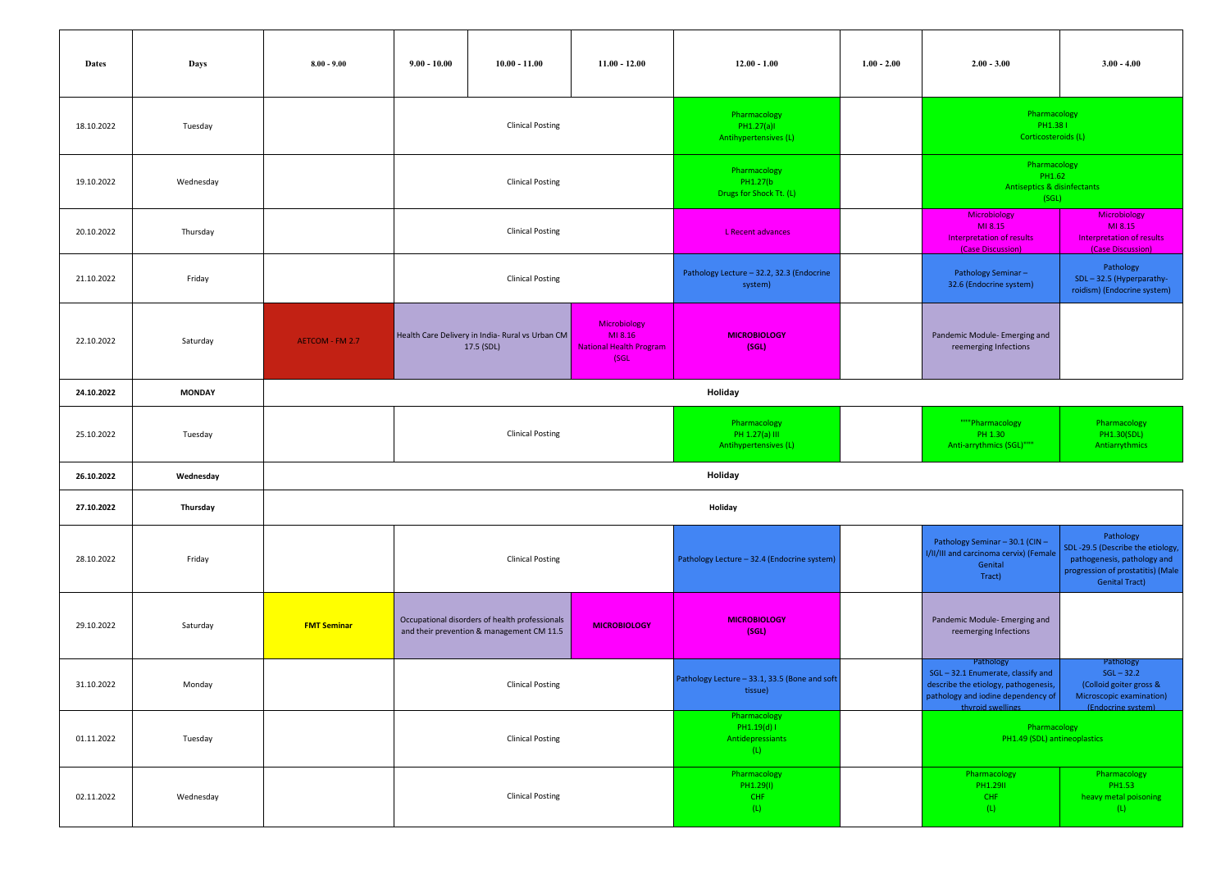| <b>Dates</b> | Days          | $8.00 - 9.00$      | $9.00 - 10.00$          | $10.00 - 11.00$                                                                             | $11.00 - 12.00$                                                   | $12.00 - 1.00$                                           | $1.00 - 2.00$                                | $2.00 - 3.00$                                                                                                                                    | $3.00 - 4.00$                                                                                                                              |
|--------------|---------------|--------------------|-------------------------|---------------------------------------------------------------------------------------------|-------------------------------------------------------------------|----------------------------------------------------------|----------------------------------------------|--------------------------------------------------------------------------------------------------------------------------------------------------|--------------------------------------------------------------------------------------------------------------------------------------------|
| 18.10.2022   | Tuesday       |                    |                         | <b>Clinical Posting</b>                                                                     |                                                                   | Pharmacology<br>PH1.27(a)I<br>Antihypertensives (L)      |                                              | Pharmacology<br>PH1.381<br>Corticosteroids (L)                                                                                                   |                                                                                                                                            |
| 19.10.2022   | Wednesday     |                    |                         | <b>Clinical Posting</b>                                                                     |                                                                   | Pharmacology<br>PH1.27(b<br>Drugs for Shock Tt. (L)      |                                              | Pharmacology<br>PH1.62<br><b>Antiseptics &amp; disinfectants</b><br>(SGL)                                                                        |                                                                                                                                            |
| 20.10.2022   | Thursday      |                    |                         | <b>Clinical Posting</b>                                                                     |                                                                   | L Recent advances                                        |                                              | Microbiology<br>MI 8.15<br>Interpretation of results<br>(Case Discussion)                                                                        | Microbiology<br>MI 8.15<br><b>Interpretation of results</b><br>(Case Discussion)                                                           |
| 21.10.2022   | Friday        |                    |                         | <b>Clinical Posting</b>                                                                     |                                                                   | Pathology Lecture - 32.2, 32.3 (Endocrine<br>system)     |                                              | Pathology Seminar-<br>32.6 (Endocrine system)                                                                                                    | Pathology<br>SDL-32.5 (Hyperparathy-<br>roidism) (Endocrine system)                                                                        |
| 22.10.2022   | Saturday      | AETCOM - FM 2.7    |                         | Health Care Delivery in India- Rural vs Urban CM<br>17.5 (SDL)                              | Microbiology<br>MI 8.16<br><b>National Health Program</b><br>(SGL | <b>MICROBIOLOGY</b><br>(SGL)                             |                                              | Pandemic Module- Emerging and<br>reemerging Infections                                                                                           |                                                                                                                                            |
| 24.10.2022   | <b>MONDAY</b> |                    |                         |                                                                                             |                                                                   | Holiday                                                  |                                              |                                                                                                                                                  |                                                                                                                                            |
| 25.10.2022   | Tuesday       |                    |                         | <b>Clinical Posting</b>                                                                     |                                                                   | Pharmacology<br>PH 1.27(a) III<br>Antihypertensives (L)  |                                              | """Pharmacology<br>PH 1.30<br>Anti-arrythmics (SGL)"""                                                                                           | Pharmacology<br>PH1.30(SDL)<br>Antiarrythmics                                                                                              |
| 26.10.2022   | Wednesday     |                    |                         |                                                                                             |                                                                   | Holiday                                                  |                                              |                                                                                                                                                  |                                                                                                                                            |
| 27.10.2022   | Thursday      |                    |                         |                                                                                             |                                                                   | Holiday                                                  |                                              |                                                                                                                                                  |                                                                                                                                            |
| 28.10.2022   | Friday        |                    |                         | <b>Clinical Posting</b>                                                                     |                                                                   | Pathology Lecture - 32.4 (Endocrine system)              |                                              | Pathology Seminar - 30.1 (CIN -<br>I/II/III and carcinoma cervix) (Female<br>Genital<br>Tract)                                                   | Pathology<br>SDL-29.5 (Describe the etiology,<br>pathogenesis, pathology and<br>progression of prostatitis) (Male<br><b>Genital Tract)</b> |
| 29.10.2022   | Saturday      | <b>FMT Seminar</b> |                         | Occupational disorders of health professionals<br>and their prevention & management CM 11.5 | <b>MICROBIOLOGY</b>                                               | <b>MICROBIOLOGY</b><br>(SGL)                             |                                              | Pandemic Module- Emerging and<br>reemerging Infections                                                                                           |                                                                                                                                            |
| 31.10.2022   | Monday        |                    |                         | <b>Clinical Posting</b>                                                                     |                                                                   | Pathology Lecture - 33.1, 33.5 (Bone and soft<br>tissue) |                                              | Pathology<br>SGL-32.1 Enumerate, classify and<br>describe the etiology, pathogenesis,<br>pathology and iodine dependency of<br>thyroid swellings | Pathology<br>$SGL - 32.2$<br>(Colloid goiter gross &<br>Microscopic examination)<br>(Endocrine system)                                     |
| 01.11.2022   | Tuesday       |                    | <b>Clinical Posting</b> |                                                                                             | Pharmacology<br>PH1.19(d) I<br><b>Antidepressiants</b><br>(L)     |                                                          | Pharmacology<br>PH1.49 (SDL) antineoplastics |                                                                                                                                                  |                                                                                                                                            |
| 02.11.2022   | Wednesday     |                    |                         | <b>Clinical Posting</b>                                                                     |                                                                   | Pharmacology<br>PH1.29(I)<br>CHF<br>(L)                  |                                              | Pharmacology<br>PH1.29II<br>CHF<br>(L)                                                                                                           | Pharmacology<br>PH1.53<br>heavy metal poisoning<br>(L)                                                                                     |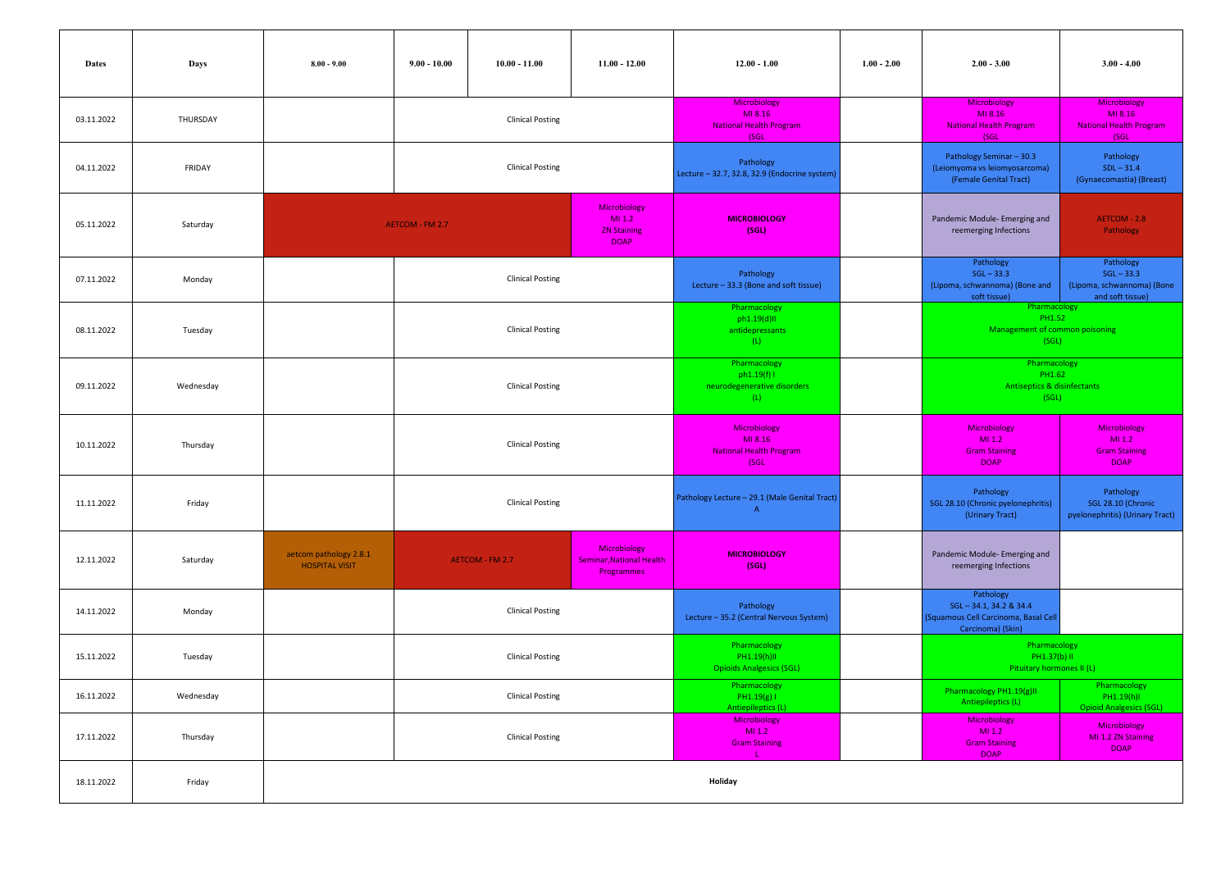| <b>Dates</b> | Days      | $8.00 - 9.00$                                   | $9.00 - 10.00$  | $10.00 - 11.00$         | $11.00 - 12.00$                                               | $12.00 - 1.00$                                                    | $1.00 - 2.00$ | $2.00 - 3.00$                                                                                  | $3.00 - 4.00$                                                               |
|--------------|-----------|-------------------------------------------------|-----------------|-------------------------|---------------------------------------------------------------|-------------------------------------------------------------------|---------------|------------------------------------------------------------------------------------------------|-----------------------------------------------------------------------------|
| 03.11.2022   | THURSDAY  |                                                 |                 | <b>Clinical Posting</b> |                                                               | Microbiology<br>MI 8.16<br><b>National Health Program</b><br>(SGL |               | Microbiology<br>MI 8.16<br><b>National Health Program</b><br>(SGL                              | Microbiology<br>MI 8.16<br><b>National Health Program</b><br>(SGL           |
| 04.11.2022   | FRIDAY    |                                                 |                 | <b>Clinical Posting</b> |                                                               | Pathology<br>Lecture - 32.7, 32.8, 32.9 (Endocrine system)        |               | Pathology Seminar - 30.3<br>(Leiomyoma vs leiomyosarcoma)<br>(Female Genital Tract)            | Pathology<br>$SDL - 31.4$<br>(Gynaecomastia) (Breast)                       |
| 05.11.2022   | Saturday  |                                                 | AETCOM - FM 2.7 |                         | Microbiology<br>MI 1.2<br><b>ZN Staining</b><br><b>DOAP</b>   | <b>MICROBIOLOGY</b><br>(SGL)                                      |               | Pandemic Module- Emerging and<br>reemerging Infections                                         | AETCOM - 2.8<br>Pathology                                                   |
| 07.11.2022   | Monday    |                                                 |                 | <b>Clinical Posting</b> |                                                               | Pathology<br>Lecture - 33.3 (Bone and soft tissue)                |               | Pathology<br>$SGL - 33.3$<br>(Lipoma, schwannoma) (Bone and<br>soft tissue)                    | Pathology<br>$SGL - 33.3$<br>(Lipoma, schwannoma) (Bone<br>and soft tissue) |
| 08.11.2022   | Tuesday   |                                                 |                 | <b>Clinical Posting</b> |                                                               | Pharmacology<br>ph1.19(d)II<br>antidepressants<br>(L)             |               | Pharmacology<br>PH1.52<br>Management of common poisoning<br>(SGL)                              |                                                                             |
| 09.11.2022   | Wednesday |                                                 |                 | <b>Clinical Posting</b> |                                                               | Pharmacology<br>ph1.19(f)  <br>neurodegenerative disorders<br>(L) |               | Pharmacology<br>PH1.62<br><b>Antiseptics &amp; disinfectants</b><br>(SGL)                      |                                                                             |
| 10.11.2022   | Thursday  |                                                 |                 | <b>Clinical Posting</b> |                                                               | Microbiology<br>MI 8.16<br><b>National Health Program</b><br>(SGL |               | Microbiology<br>MI.2<br><b>Gram Staining</b><br><b>DOAP</b>                                    | Microbiology<br>MI 1.2<br><b>Gram Staining</b><br><b>DOAP</b>               |
| 11.11.2022   | Friday    |                                                 |                 | <b>Clinical Posting</b> |                                                               | Pathology Lecture - 29.1 (Male Genital Tract)<br>$\mathsf{A}$     |               | Pathology<br>SGL 28.10 (Chronic pyelonephritis)<br>(Urinary Tract)                             | Pathology<br>SGL 28.10 (Chronic<br>pyelonephritis) (Urinary Tract)          |
| 12.11.2022   | Saturday  | aetcom pathology 2.8.1<br><b>HOSPITAL VISIT</b> |                 | <b>AETCOM - FM 2.7</b>  | Microbiology<br><b>Seminar, National Health</b><br>Programmes | <b>MICROBIOLOGY</b><br>(SGL)                                      |               | Pandemic Module- Emerging and<br>reemerging Infections                                         |                                                                             |
| 14.11.2022   | Monday    |                                                 |                 | <b>Clinical Posting</b> |                                                               | Pathology<br>Lecture - 35.2 (Central Nervous System)              |               | Pathology<br>SGL-34.1, 34.2 & 34.4<br>(Squamous Cell Carcinoma, Basal Cel<br>Carcinoma) (Skin) |                                                                             |
| 15.11.2022   | Tuesday   |                                                 |                 | <b>Clinical Posting</b> |                                                               | Pharmacology<br>PH1.19(h)II<br><b>Opioids Analgesics (SGL)</b>    |               | Pharmacology<br>PH1.37(b) II<br>Pituitary hormones II (L)                                      |                                                                             |
| 16.11.2022   | Wednesday |                                                 |                 | <b>Clinical Posting</b> |                                                               | Pharmacology<br>PH1.19(g) I<br>Antiepileptics (L)                 |               | Pharmacology PH1.19(g)II<br>Antiepileptics (L)                                                 | Pharmacology<br>PH1.19(h)I<br><b>Opioid Analgesics (SGL)</b>                |
| 17.11.2022   | Thursday  |                                                 |                 | <b>Clinical Posting</b> |                                                               | Microbiology<br>MI.2<br><b>Gram Staining</b><br>т                 |               | Microbiology<br>MI.2<br><b>Gram Staining</b><br><b>DOAP</b>                                    | Microbiology<br>MI 1.2 ZN Staining<br><b>DOAP</b>                           |
| 18.11.2022   | Friday    |                                                 |                 |                         |                                                               | Holiday                                                           |               |                                                                                                |                                                                             |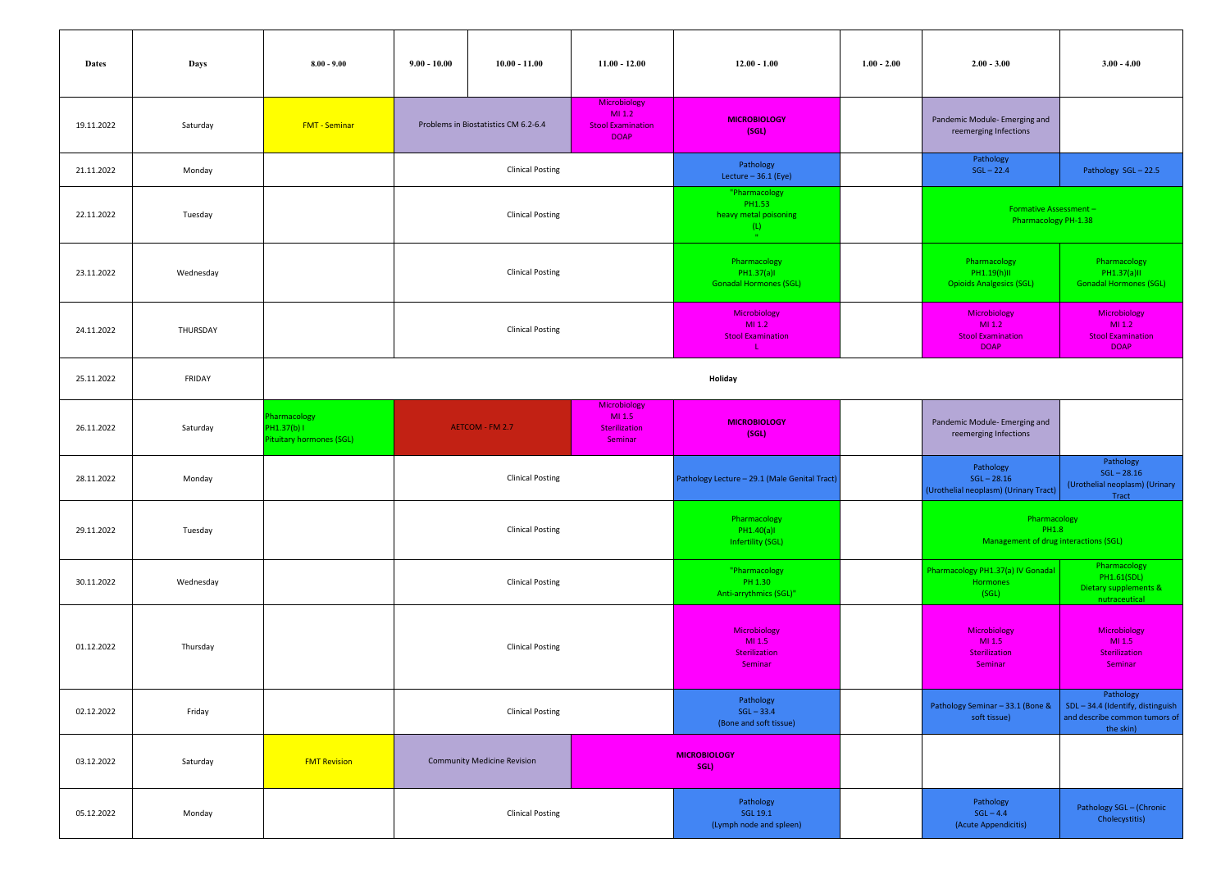| <b>Dates</b> | Days      | $8.00 - 9.00$                                                  | $9.00 - 10.00$                     | $10.00 - 11.00$                                                                                         | $11.00 - 12.00$                                    | $12.00 - 1.00$                                              | $1.00 - 2.00$                                    | $2.00 - 3.00$                                                         | $3.00 - 4.00$                                                                              |
|--------------|-----------|----------------------------------------------------------------|------------------------------------|---------------------------------------------------------------------------------------------------------|----------------------------------------------------|-------------------------------------------------------------|--------------------------------------------------|-----------------------------------------------------------------------|--------------------------------------------------------------------------------------------|
| 19.11.2022   | Saturday  | <b>FMT - Seminar</b>                                           |                                    | Microbiology<br>MI.2<br>Problems in Biostatistics CM 6.2-6.4<br><b>Stool Examination</b><br><b>DOAP</b> |                                                    | <b>MICROBIOLOGY</b><br>(SGL)                                |                                                  | Pandemic Module- Emerging and<br>reemerging Infections                |                                                                                            |
| 21.11.2022   | Monday    |                                                                | <b>Clinical Posting</b>            |                                                                                                         | Pathology<br>Lecture $-36.1$ (Eye)                 |                                                             | Pathology<br>$SGL - 22.4$                        | Pathology SGL-22.5                                                    |                                                                                            |
| 22.11.2022   | Tuesday   |                                                                |                                    | <b>Clinical Posting</b>                                                                                 |                                                    | "Pharmacology<br>PH1.53<br>heavy metal poisoning<br>(L)     |                                                  | Formative Assessment-<br>Pharmacology PH-1.38                         |                                                                                            |
| 23.11.2022   | Wednesday |                                                                |                                    | <b>Clinical Posting</b>                                                                                 |                                                    | Pharmacology<br>PH1.37(a)I<br><b>Gonadal Hormones (SGL)</b> |                                                  | Pharmacology<br>PH1.19(h)II<br><b>Opioids Analgesics (SGL)</b>        | Pharmacology<br>PH1.37(a)II<br><b>Gonadal Hormones (SGL)</b>                               |
| 24.11.2022   | THURSDAY  |                                                                |                                    | <b>Clinical Posting</b>                                                                                 |                                                    | Microbiology<br>MI.2<br><b>Stool Examination</b>            |                                                  | Microbiology<br>MI 1.2<br><b>Stool Examination</b><br><b>DOAP</b>     | Microbiology<br>MI 1.2<br><b>Stool Examination</b><br><b>DOAP</b>                          |
| 25.11.2022   | FRIDAY    |                                                                |                                    |                                                                                                         |                                                    | Holiday                                                     |                                                  |                                                                       |                                                                                            |
| 26.11.2022   | Saturday  | Pharmacology<br>PH1.37(b)  <br><b>Pituitary hormones (SGL)</b> |                                    | AETCOM - FM 2.7                                                                                         | Microbiology<br>MI 1.5<br>Sterilization<br>Seminar | <b>MICROBIOLOGY</b><br>(SGL)                                |                                                  | Pandemic Module- Emerging and<br>reemerging Infections                |                                                                                            |
| 28.11.2022   | Monday    |                                                                |                                    | <b>Clinical Posting</b>                                                                                 |                                                    | Pathology Lecture - 29.1 (Male Genital Tract)               |                                                  | Pathology<br>$SGL - 28.16$<br>(Urothelial neoplasm) (Urinary Tract)   | Pathology<br>$SGL - 28.16$<br>(Urothelial neoplasm) (Urinary<br>Tract                      |
| 29.11.2022   | Tuesday   |                                                                |                                    | <b>Clinical Posting</b>                                                                                 |                                                    | Pharmacology<br>PH1.40(a)I<br>Infertility (SGL)             |                                                  | Pharmacology<br><b>PH1.8</b><br>Management of drug interactions (SGL) |                                                                                            |
| 30.11.2022   | Wednesday |                                                                |                                    | <b>Clinical Posting</b>                                                                                 |                                                    | "Pharmacology<br>PH 1.30<br>Anti-arrythmics (SGL)"          |                                                  | Pharmacology PH1.37(a) IV Gonadal<br><b>Hormones</b><br>(SGL)         | Pharmacology<br>PH1.61(SDL)<br>Dietary supplements &<br>nutraceutical                      |
| 01.12.2022   | Thursday  |                                                                |                                    | <b>Clinical Posting</b>                                                                                 |                                                    | Microbiology<br>MI 1.5<br>Sterilization<br>Seminar          |                                                  | Microbiology<br>MI 1.5<br>Sterilization<br><b>Seminar</b>             | Microbiology<br>MI 1.5<br>Sterilization<br>Seminar                                         |
| 02.12.2022   | Friday    |                                                                |                                    | <b>Clinical Posting</b>                                                                                 |                                                    | Pathology<br>$SGL - 33.4$<br>(Bone and soft tissue)         |                                                  | Pathology Seminar - 33.1 (Bone &<br>soft tissue)                      | Pathology<br>SDL-34.4 (Identify, distinguish<br>and describe common tumors of<br>the skin) |
| 03.12.2022   | Saturday  | <b>FMT Revision</b>                                            | <b>Community Medicine Revision</b> |                                                                                                         | <b>MICROBIOLOGY</b><br>SGL)                        |                                                             |                                                  |                                                                       |                                                                                            |
| 05.12.2022   | Monday    |                                                                | <b>Clinical Posting</b>            |                                                                                                         | Pathology<br>SGL 19.1<br>(Lymph node and spleen)   |                                                             | Pathology<br>$SGL - 4.4$<br>(Acute Appendicitis) | Pathology SGL - (Chronic<br>Cholecystitis)                            |                                                                                            |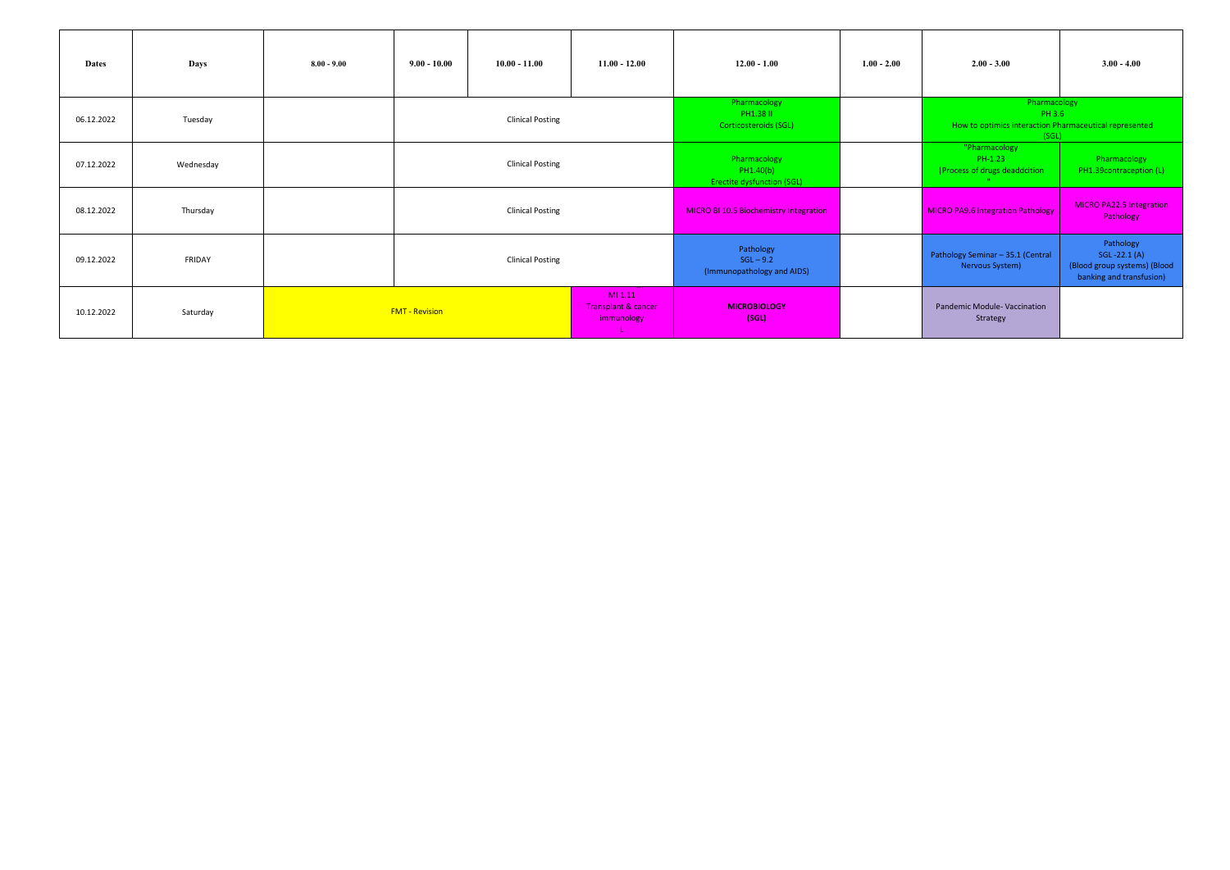| <b>Dates</b> | Days      | $8.00 - 9.00$ | $9.00 - 10.00$                                                                   | $10.00 - 11.00$         | $11.00 - 12.00$ | $12.00 - 1.00$                                                 | $1.00 - 2.00$ | $2.00 - 3.00$                                                                             | $3.00 - 4.00$                                                                         |
|--------------|-----------|---------------|----------------------------------------------------------------------------------|-------------------------|-----------------|----------------------------------------------------------------|---------------|-------------------------------------------------------------------------------------------|---------------------------------------------------------------------------------------|
| 06.12.2022   | Tuesday   |               |                                                                                  | <b>Clinical Posting</b> |                 | Pharmacology<br>PH1.38 II<br>Corticosteroids (SGL)             |               | Pharmacology<br>PH 3.6<br>How to optimics interaction Pharmaceutical represented<br>(SGL) |                                                                                       |
| 07.12.2022   | Wednesday |               |                                                                                  | <b>Clinical Posting</b> |                 | Pharmacology<br>PH1.40(b)<br><b>Erectite dysfunction (SGL)</b> |               | "Pharmacology<br>PH-1.23<br><b>Process of drugs deaddcition</b>                           | Pharmacology<br>PH1.39contraception (L)                                               |
| 08.12.2022   | Thursday  |               |                                                                                  | <b>Clinical Posting</b> |                 | <b>MICRO BI 10.5 Biochemistry Integration</b>                  |               | <b>MICRO PA9.6 Integration Pathology</b>                                                  | <b>MICRO PA22.5 Integration</b><br>Pathology                                          |
| 09.12.2022   | FRIDAY    |               |                                                                                  | <b>Clinical Posting</b> |                 | Pathology<br>$SGL - 9.2$<br>(Immunopathology and AIDS)         |               | Pathology Seminar - 35.1 (Central<br>Nervous System)                                      | Pathology<br>SGL-22.1 (A)<br>(Blood group systems) (Blood<br>banking and transfusion) |
| 10.12.2022   | Saturday  |               | MI 1.11<br><b>Transplant &amp; cancer</b><br><b>FMT - Revision</b><br>immunology |                         |                 | <b>MICROBIOLOGY</b><br>(SGL)                                   |               | Pandemic Module-Vaccination<br>Strategy                                                   |                                                                                       |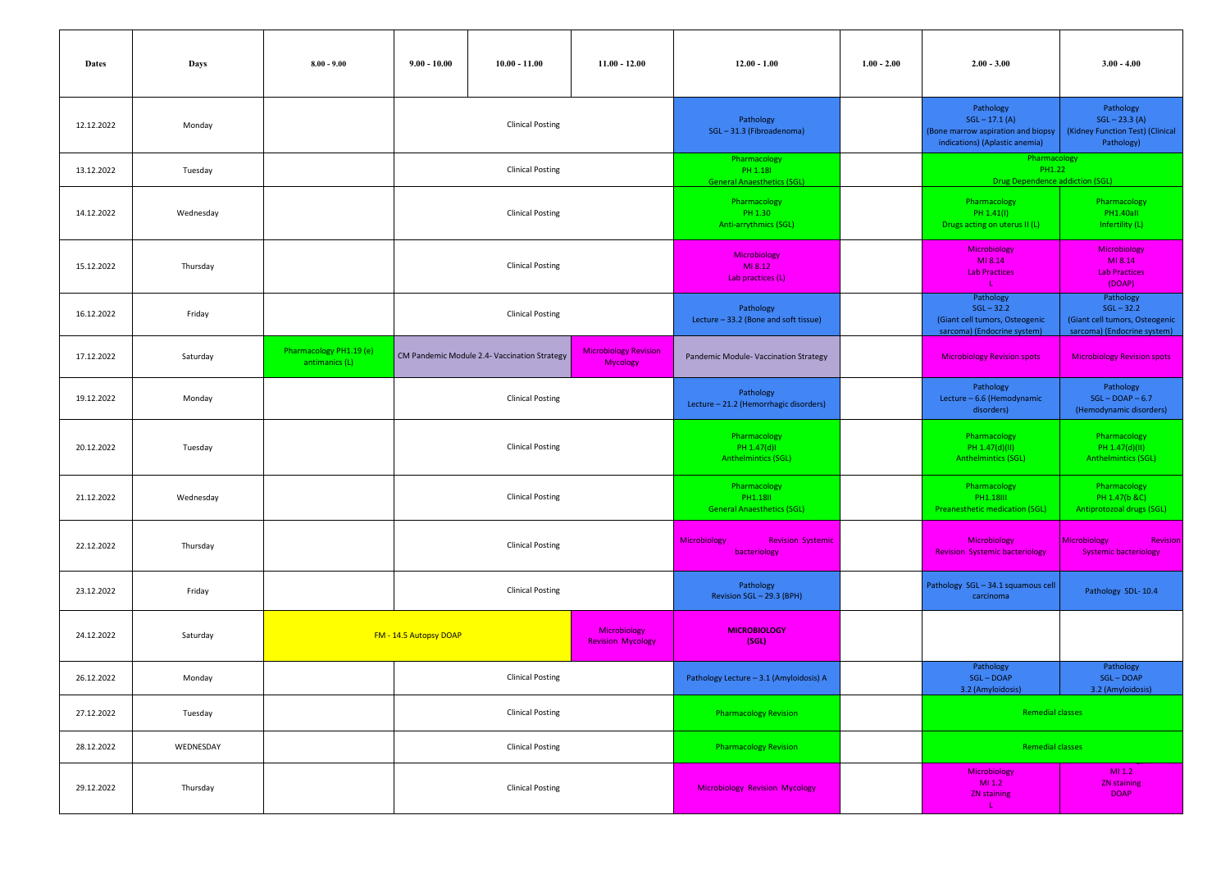| Dates      | Days      | $8.00 - 9.00$                             | $9.00 - 10.00$          | $10.00 - 11.00$                              | $11.00 - 12.00$                                 | $12.00 - 1.00$                                                | $1.00 - 2.00$                                      | $2.00 - 3.00$                                                                                         | $3.00 - 4.00$                                                                              |  |
|------------|-----------|-------------------------------------------|-------------------------|----------------------------------------------|-------------------------------------------------|---------------------------------------------------------------|----------------------------------------------------|-------------------------------------------------------------------------------------------------------|--------------------------------------------------------------------------------------------|--|
| 12.12.2022 | Monday    |                                           |                         | <b>Clinical Posting</b>                      |                                                 | Pathology<br>SGL-31.3 (Fibroadenoma)                          |                                                    | Pathology<br>$SGL - 17.1 (A)$<br>(Bone marrow aspiration and biopsy<br>indications) (Aplastic anemia) | Pathology<br>$SGL - 23.3 (A)$<br>(Kidney Function Test) (Clinical<br>Pathology)            |  |
| 13.12.2022 | Tuesday   |                                           | <b>Clinical Posting</b> |                                              |                                                 | Pharmacology<br>PH 1.18I<br><b>General Anaesthetics (SGL)</b> |                                                    | Pharmacology<br>PH1.22<br><b>Drug Dependence addiction (SGL)</b>                                      |                                                                                            |  |
| 14.12.2022 | Wednesday |                                           | <b>Clinical Posting</b> |                                              |                                                 | Pharmacology<br>PH 1.30<br>Anti-arrythmics (SGL)              |                                                    | Pharmacology<br>PH 1.41(I)<br>Drugs acting on uterus II (L)                                           | Pharmacology<br><b>PH1.40all</b><br>Infertility (L)                                        |  |
| 15.12.2022 | Thursday  |                                           |                         | <b>Clinical Posting</b>                      |                                                 | Microbiology<br>MI 8.12<br>Lab practices (L)                  |                                                    | Microbiology<br>MI 8.14<br><b>Lab Practices</b>                                                       | Microbiology<br>MI 8.14<br><b>Lab Practices</b><br>(DOAP)                                  |  |
| 16.12.2022 | Friday    |                                           |                         | <b>Clinical Posting</b>                      |                                                 | Pathology<br>Lecture - 33.2 (Bone and soft tissue)            |                                                    | Pathology<br>$SGL - 32.2$<br>(Giant cell tumors, Osteogenic<br>sarcoma) (Endocrine system)            | Pathology<br>$SGL - 32.2$<br>(Giant cell tumors, Osteogenic<br>sarcoma) (Endocrine system) |  |
| 17.12.2022 | Saturday  | Pharmacology PH1.19 (e)<br>antimanics (L) |                         | CM Pandemic Module 2.4- Vaccination Strategy | <b>Microbiology Revision</b><br><b>Mycology</b> | Pandemic Module- Vaccination Strategy                         |                                                    | <b>Microbiology Revision spots</b>                                                                    | <b>Microbiology Revision spots</b>                                                         |  |
| 19.12.2022 | Monday    |                                           |                         | <b>Clinical Posting</b>                      |                                                 | Pathology<br>Lecture - 21.2 (Hemorrhagic disorders)           |                                                    | Pathology<br>Lecture - 6.6 (Hemodynamic<br>disorders)                                                 | Pathology<br>$SGL - DOAP - 6.7$<br>(Hemodynamic disorders)                                 |  |
| 20.12.2022 | Tuesday   |                                           |                         | <b>Clinical Posting</b>                      |                                                 | Pharmacology<br>PH 1.47(d)I<br><b>Anthelmintics (SGL)</b>     |                                                    | Pharmacology<br>PH 1.47(d)(II)<br><b>Anthelmintics (SGL)</b>                                          | Pharmacology<br>PH 1.47(d)(II)<br><b>Anthelmintics (SGL)</b>                               |  |
| 21.12.2022 | Wednesday |                                           |                         | <b>Clinical Posting</b>                      |                                                 | Pharmacology<br>PH1.18II<br><b>General Anaesthetics (SGL)</b> |                                                    | Pharmacology<br>PH1.18III<br><b>Preanesthetic medication (SGL)</b>                                    | Pharmacology<br>PH 1.47(b &C)<br>Antiprotozoal drugs (SGL)                                 |  |
| 22.12.2022 | Thursday  |                                           |                         | <b>Clinical Posting</b>                      |                                                 | Microbiology<br><b>Revision Systemic</b><br>bacteriology      |                                                    | Microbiology<br><b>Revision Systemic bacteriology</b>                                                 | Microbiology<br><b>Revision</b><br><b>Systemic bacteriology</b>                            |  |
| 23.12.2022 | Friday    |                                           |                         | <b>Clinical Posting</b>                      |                                                 | Pathology<br>Revision SGL - 29.3 (BPH)                        |                                                    | Pathology SGL - 34.1 squamous cell<br>carcinoma                                                       | Pathology SDL-10.4                                                                         |  |
| 24.12.2022 | Saturday  |                                           | FM - 14.5 Autopsy DOAP  |                                              | Microbiology<br><b>Revision Mycology</b>        | <b>MICROBIOLOGY</b><br>(SGL)                                  |                                                    |                                                                                                       |                                                                                            |  |
| 26.12.2022 | Monday    |                                           |                         | <b>Clinical Posting</b>                      |                                                 | Pathology Lecture - 3.1 (Amyloidosis) A                       |                                                    | Pathology<br>$SGL - DOAP$<br>3.2 (Amyloidosis)                                                        | Pathology<br>$SGL - DOAP$<br>3.2 (Amyloidosis)                                             |  |
| 27.12.2022 | Tuesday   |                                           | <b>Clinical Posting</b> |                                              | <b>Pharmacology Revision</b>                    |                                                               | <b>Remedial classes</b>                            |                                                                                                       |                                                                                            |  |
| 28.12.2022 | WEDNESDAY |                                           | <b>Clinical Posting</b> |                                              | <b>Pharmacology Revision</b>                    |                                                               | <b>Remedial classes</b>                            |                                                                                                       |                                                                                            |  |
| 29.12.2022 | Thursday  |                                           | <b>Clinical Posting</b> |                                              | <b>Microbiology Revision Mycology</b>           |                                                               | Microbiology<br>MI 1.2<br><b>ZN staining</b><br>L. | MI 1.2<br><b>ZN staining</b><br><b>DOAP</b>                                                           |                                                                                            |  |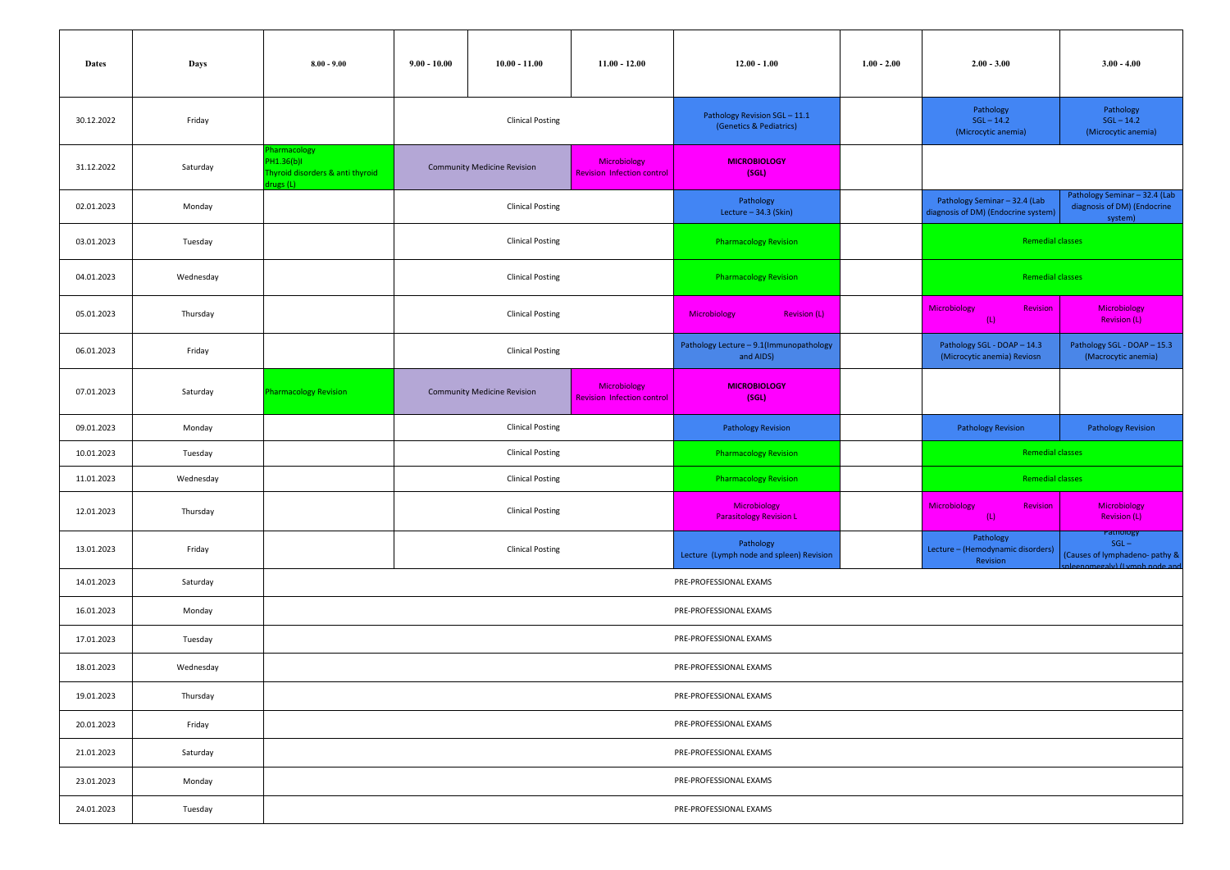| <b>Dates</b> | Days      | $8.00 - 9.00$                                                               | $9.00 - 10.00$ | $10.00 - 11.00$                    | $11.00 - 12.00$                                          | $12.00 - 1.00$                                         | $1.00 - 2.00$ | $2.00 - 3.00$                                                        | $3.00 - 4.00$                                                           |  |
|--------------|-----------|-----------------------------------------------------------------------------|----------------|------------------------------------|----------------------------------------------------------|--------------------------------------------------------|---------------|----------------------------------------------------------------------|-------------------------------------------------------------------------|--|
| 30.12.2022   | Friday    |                                                                             |                | <b>Clinical Posting</b>            |                                                          | Pathology Revision SGL-11.1<br>(Genetics & Pediatrics) |               | Pathology<br>$SGL - 14.2$<br>(Microcytic anemia)                     | Pathology<br>$SGL - 14.2$<br>(Microcytic anemia)                        |  |
| 31.12.2022   | Saturday  | 'harmacology<br>PH1.36(b)I<br>Thyroid disorders & anti thyroid<br>Irugs (L) |                | <b>Community Medicine Revision</b> | <b>Microbiology</b><br><b>Revision Infection control</b> | <b>MICROBIOLOGY</b><br>(SGL)                           |               |                                                                      |                                                                         |  |
| 02.01.2023   | Monday    |                                                                             |                | <b>Clinical Posting</b>            |                                                          | Pathology<br>Lecture - 34.3 (Skin)                     |               | Pathology Seminar - 32.4 (Lab<br>diagnosis of DM) (Endocrine system) | Pathology Seminar - 32.4 (Lab<br>diagnosis of DM) (Endocrine<br>system) |  |
| 03.01.2023   | Tuesday   |                                                                             |                | <b>Clinical Posting</b>            |                                                          | <b>Pharmacology Revision</b>                           |               | <b>Remedial classes</b>                                              |                                                                         |  |
| 04.01.2023   | Wednesday |                                                                             |                | <b>Clinical Posting</b>            |                                                          | <b>Pharmacology Revision</b>                           |               | <b>Remedial classes</b>                                              |                                                                         |  |
| 05.01.2023   | Thursday  |                                                                             |                | <b>Clinical Posting</b>            |                                                          | Microbiology<br><b>Revision (L)</b>                    |               | Microbiology<br>Revision<br>(L)                                      | Microbiology<br><b>Revision (L)</b>                                     |  |
| 06.01.2023   | Friday    |                                                                             |                | <b>Clinical Posting</b>            |                                                          | Pathology Lecture - 9.1(Immunopathology<br>and AIDS)   |               | Pathology SGL - DOAP - 14.3<br>(Microcytic anemia) Reviosn           | Pathology SGL - DOAP - 15.3<br>(Macrocytic anemia)                      |  |
| 07.01.2023   | Saturday  | <b>Pharmacology Revision</b>                                                |                | <b>Community Medicine Revision</b> | Microbiology<br><b>Revision Infection control</b>        | <b>MICROBIOLOGY</b><br>(SGL)                           |               |                                                                      |                                                                         |  |
| 09.01.2023   | Monday    |                                                                             |                | <b>Clinical Posting</b>            |                                                          | <b>Pathology Revision</b>                              |               | <b>Pathology Revision</b>                                            | <b>Pathology Revision</b>                                               |  |
| 10.01.2023   | Tuesday   |                                                                             |                | <b>Clinical Posting</b>            |                                                          | <b>Pharmacology Revision</b>                           |               | <b>Remedial classes</b>                                              |                                                                         |  |
| 11.01.2023   | Wednesday |                                                                             |                | <b>Clinical Posting</b>            |                                                          | <b>Pharmacology Revision</b>                           |               | Remedial classes                                                     |                                                                         |  |
| 12.01.2023   | Thursday  |                                                                             |                | <b>Clinical Posting</b>            |                                                          | Microbiology<br><b>Parasitology Revision L</b>         |               | Microbiology<br>Revision<br>(L)                                      | Microbiology<br><b>Revision (L)</b>                                     |  |
| 13.01.2023   | Friday    |                                                                             |                | <b>Clinical Posting</b>            |                                                          | Pathology<br>Lecture (Lymph node and spleen) Revision  |               | Pathology<br>Lecture - (Hemodynamic disorders)<br>Revision           | Pathology<br>$SGL -$<br>(Causes of lymphadeno- pathy &                  |  |
| 14.01.2023   | Saturday  |                                                                             |                |                                    |                                                          | PRE-PROFESSIONAL EXAMS                                 |               |                                                                      |                                                                         |  |
| 16.01.2023   | Monday    |                                                                             |                |                                    |                                                          | PRE-PROFESSIONAL EXAMS                                 |               |                                                                      |                                                                         |  |
| 17.01.2023   | Tuesday   |                                                                             |                |                                    |                                                          | PRE-PROFESSIONAL EXAMS                                 |               |                                                                      |                                                                         |  |
| 18.01.2023   | Wednesday |                                                                             |                |                                    |                                                          | PRE-PROFESSIONAL EXAMS                                 |               |                                                                      |                                                                         |  |
| 19.01.2023   | Thursday  |                                                                             |                |                                    |                                                          | PRE-PROFESSIONAL EXAMS                                 |               |                                                                      |                                                                         |  |
| 20.01.2023   | Friday    |                                                                             |                |                                    |                                                          | PRE-PROFESSIONAL EXAMS                                 |               |                                                                      |                                                                         |  |
| 21.01.2023   | Saturday  |                                                                             |                |                                    |                                                          | PRE-PROFESSIONAL EXAMS                                 |               |                                                                      |                                                                         |  |
| 23.01.2023   | Monday    |                                                                             |                |                                    |                                                          | PRE-PROFESSIONAL EXAMS                                 |               |                                                                      |                                                                         |  |
| 24.01.2023   | Tuesday   |                                                                             |                |                                    |                                                          | PRE-PROFESSIONAL EXAMS                                 |               |                                                                      |                                                                         |  |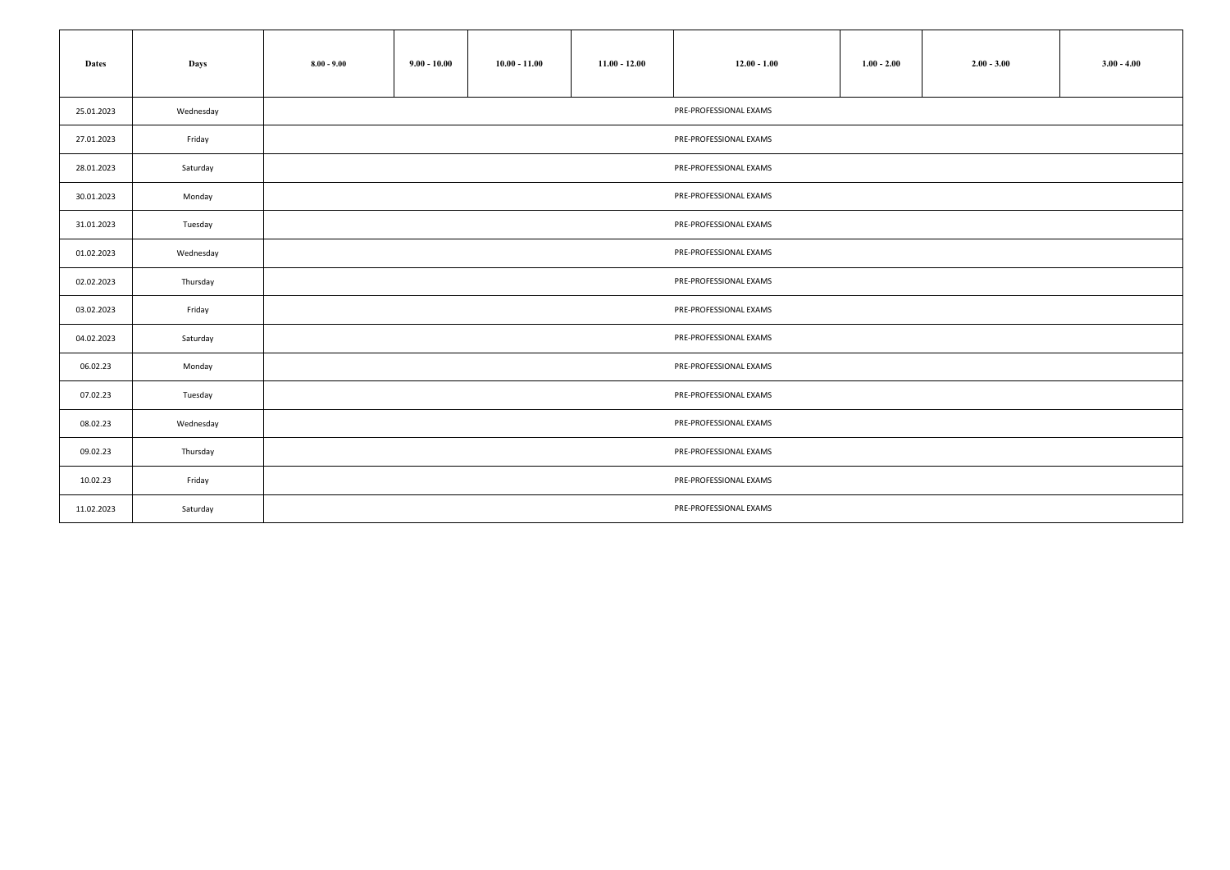| <b>Dates</b> | Days      | $8.00 - 9.00$          | $9.00 - 10.00$         | $10.00 - 11.00$ | $11.00 - 12.00$ | $12.00 - 1.00$         | $1.00 - 2.00$ | $2.00 - 3.00$ | $3.00 - 4.00$ |  |
|--------------|-----------|------------------------|------------------------|-----------------|-----------------|------------------------|---------------|---------------|---------------|--|
| 25.01.2023   | Wednesday |                        |                        |                 |                 | PRE-PROFESSIONAL EXAMS |               |               |               |  |
| 27.01.2023   | Friday    |                        | PRE-PROFESSIONAL EXAMS |                 |                 |                        |               |               |               |  |
| 28.01.2023   | Saturday  |                        | PRE-PROFESSIONAL EXAMS |                 |                 |                        |               |               |               |  |
| 30.01.2023   | Monday    |                        | PRE-PROFESSIONAL EXAMS |                 |                 |                        |               |               |               |  |
| 31.01.2023   | Tuesday   |                        | PRE-PROFESSIONAL EXAMS |                 |                 |                        |               |               |               |  |
| 01.02.2023   | Wednesday |                        | PRE-PROFESSIONAL EXAMS |                 |                 |                        |               |               |               |  |
| 02.02.2023   | Thursday  |                        |                        |                 |                 | PRE-PROFESSIONAL EXAMS |               |               |               |  |
| 03.02.2023   | Friday    |                        |                        |                 |                 | PRE-PROFESSIONAL EXAMS |               |               |               |  |
| 04.02.2023   | Saturday  |                        |                        |                 |                 | PRE-PROFESSIONAL EXAMS |               |               |               |  |
| 06.02.23     | Monday    |                        |                        |                 |                 | PRE-PROFESSIONAL EXAMS |               |               |               |  |
| 07.02.23     | Tuesday   |                        |                        |                 |                 | PRE-PROFESSIONAL EXAMS |               |               |               |  |
| 08.02.23     | Wednesday |                        | PRE-PROFESSIONAL EXAMS |                 |                 |                        |               |               |               |  |
| 09.02.23     | Thursday  | PRE-PROFESSIONAL EXAMS |                        |                 |                 |                        |               |               |               |  |
| 10.02.23     | Friday    | PRE-PROFESSIONAL EXAMS |                        |                 |                 |                        |               |               |               |  |
| 11.02.2023   | Saturday  | PRE-PROFESSIONAL EXAMS |                        |                 |                 |                        |               |               |               |  |